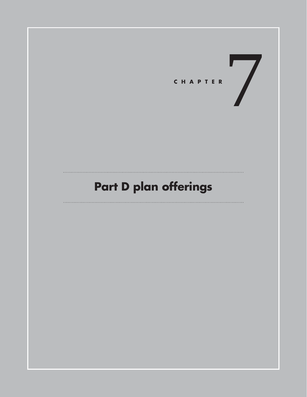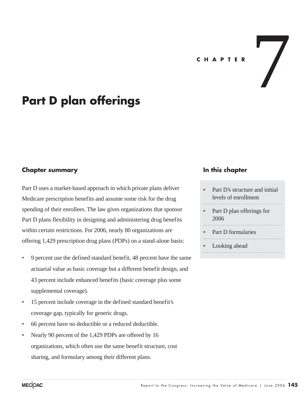#### **C H A P T E R**

 $\overline{\phantom{a}}$ 

# **Part D plan offerings**

#### **Chapter summary**

Part D uses a market-based approach in which private plans deliver Medicare prescription benefits and assume some risk for the drug spending of their enrollees. The law gives organizations that sponsor Part D plans flexibility in designing and administering drug benefits within certain restrictions. For 2006, nearly 80 organizations are offering 1,429 prescription drug plans (PDPs) on a stand-alone basis:

- 9 percent use the defined standard benefit, 48 percent have the same actuarial value as basic coverage but a different benefit design, and 43 percent include enhanced benefits (basic coverage plus some supplemental coverage).
- 15 percent include coverage in the defined standard benefit's coverage gap, typically for generic drugs.
- 66 percent have no deductible or a reduced deductible.
- Nearly 90 percent of the 1,429 PDPs are offered by 16 organizations, which often use the same benefit structure, cost sharing, and formulary among their different plans.

#### **In this chapter**

- Part D's structure and initial levels of enrollment
- Part D plan offerings for 2006
- Part D formularies

Looking ahead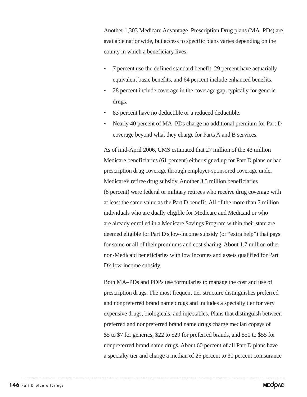Another 1,303 Medicare Advantage–Prescription Drug plans (MA–PDs) are available nationwide, but access to specific plans varies depending on the county in which a beneficiary lives:

- 7 percent use the defined standard benefit, 29 percent have actuarially equivalent basic benefits, and 64 percent include enhanced benefits.
- 28 percent include coverage in the coverage gap, typically for generic drugs.
- 83 percent have no deductible or a reduced deductible.
- Nearly 40 percent of MA–PDs charge no additional premium for Part D coverage beyond what they charge for Parts A and B services.

As of mid-April 2006, CMS estimated that 27 million of the 43 million Medicare beneficiaries (61 percent) either signed up for Part D plans or had prescription drug coverage through employer-sponsored coverage under Medicare's retiree drug subsidy. Another 3.5 million beneficiaries (8 percent) were federal or military retirees who receive drug coverage with at least the same value as the Part D benefit. All of the more than 7 million individuals who are dually eligible for Medicare and Medicaid or who are already enrolled in a Medicare Savings Program within their state are deemed eligible for Part D's low-income subsidy (or "extra help") that pays for some or all of their premiums and cost sharing. About 1.7 million other non-Medicaid beneficiaries with low incomes and assets qualified for Part D's low-income subsidy.

Both MA–PDs and PDPs use formularies to manage the cost and use of prescription drugs. The most frequent tier structure distinguishes preferred and nonpreferred brand name drugs and includes a specialty tier for very expensive drugs, biologicals, and injectables. Plans that distinguish between preferred and nonpreferred brand name drugs charge median copays of \$5 to \$7 for generics, \$22 to \$29 for preferred brands, and \$50 to \$55 for nonpreferred brand name drugs. About 60 percent of all Part D plans have a specialty tier and charge a median of 25 percent to 30 percent coinsurance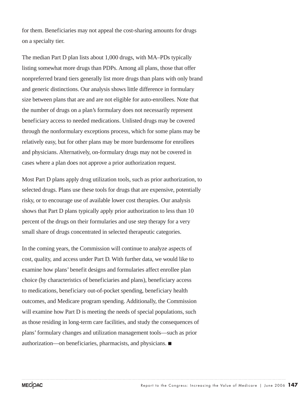for them. Beneficiaries may not appeal the cost-sharing amounts for drugs on a specialty tier.

The median Part D plan lists about 1,000 drugs, with MA–PDs typically listing somewhat more drugs than PDPs. Among all plans, those that offer nonpreferred brand tiers generally list more drugs than plans with only brand and generic distinctions. Our analysis shows little difference in formulary size between plans that are and are not eligible for auto-enrollees. Note that the number of drugs on a plan's formulary does not necessarily represent beneficiary access to needed medications. Unlisted drugs may be covered through the nonformulary exceptions process, which for some plans may be relatively easy, but for other plans may be more burdensome for enrollees and physicians. Alternatively, on-formulary drugs may not be covered in cases where a plan does not approve a prior authorization request.

Most Part D plans apply drug utilization tools, such as prior authorization, to selected drugs. Plans use these tools for drugs that are expensive, potentially risky, or to encourage use of available lower cost therapies. Our analysis shows that Part D plans typically apply prior authorization to less than 10 percent of the drugs on their formularies and use step therapy for a very small share of drugs concentrated in selected therapeutic categories.

In the coming years, the Commission will continue to analyze aspects of cost, quality, and access under Part D. With further data, we would like to examine how plans' benefit designs and formularies affect enrollee plan choice (by characteristics of beneficiaries and plans), beneficiary access to medications, beneficiary out-of-pocket spending, beneficiary health outcomes, and Medicare program spending. Additionally, the Commission will examine how Part D is meeting the needs of special populations, such as those residing in long-term care facilities, and study the consequences of plans' formulary changes and utilization management tools—such as prior authorization—on beneficiaries, pharmacists, and physicians.  $\blacksquare$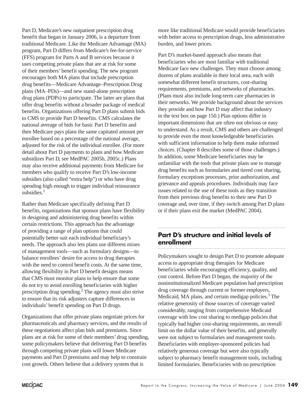Part D, Medicare's new outpatient prescription drug benefit that began in January 2006, is a departure from traditional Medicare. Like the Medicare Advantage (MA) program, Part D differs from Medicare's fee-for-service (FFS) program for Parts A and B services because it uses competing private plans that are at risk for some of their members' benefit spending. The new program encourages both MA plans that include prescription drug benefits—Medicare Advantage–Prescription Drug plans (MA–PDs)—and new stand-alone prescription drug plans (PDPs) to participate. The latter are plans that offer drug benefits without a broader package of medical benefits. Organizations offering Part D plans submit bids to CMS to provide Part D benefits. CMS calculates the national average of bids for basic Part D benefits and then Medicare pays plans the same capitated amount per enrollee based on a percentage of the national average, adjusted for the risk of the individual enrollee. (For more detail about Part D payments to plans and how Medicare subsidizes Part D, see MedPAC 2005b, 2005c.) Plans may also receive additional payments from Medicare for members who qualify to receive Part D's low-income subsidies (also called "extra help") or who have drug spending high enough to trigger individual reinsurance subsidies.<sup>1</sup>

Rather than Medicare specifically defining Part D benefits, organizations that sponsor plans have flexibility in designing and administering drug benefits within certain restrictions. This approach has the advantage of providing a range of plan options that could potentially better suit each individual beneficiary's needs. The approach also lets plans use different mixes of management tools—such as formulary designs—to balance enrollees' desire for access to drug therapies with the need to control benefit costs. At the same time, allowing flexibility in Part D benefit designs means that CMS must monitor plans to help ensure that some do not try to avoid enrolling beneficiaries with higher prescription drug spending.<sup>2</sup> The agency must also strive to ensure that its risk adjusters capture differences in individuals' benefit spending on Part D drugs.

Organizations that offer private plans negotiate prices for pharmaceuticals and pharmacy services, and the results of these negotiations affect plan bids and premiums. Since plans are at risk for some of their members' drug spending, some policymakers believe that delivering Part D benefits through competing private plans will lower Medicare payments and Part D premiums and may help to constrain cost growth. Others believe that a delivery system that is

more like traditional Medicare would provide beneficiaries with better access to prescription drugs, less administrative burden, and lower prices.

Part D's market-based approach also means that beneficiaries who are most familiar with traditional Medicare face new challenges. They must choose among dozens of plans available in their local area, each with somewhat different benefit structures, cost-sharing requirements, premiums, and networks of pharmacies. (Plans must also include long-term care pharmacies in their networks. We provide background about the services they provide and how Part D may affect that industry in the text box on page 150.) Plan options differ in important dimensions that are often not obvious or easy to understand. As a result, CMS and others are challenged to provide even the most knowledgeable beneficiaries with sufficient information to help them make informed choices. (Chapter 8 describes some of those challenges.) In addition, some Medicare beneficiaries may be unfamiliar with the tools that private plans use to manage drug benefits such as formularies and tiered cost sharing, formulary exceptions processes, prior authorization, and grievance and appeals procedures. Individuals may face issues related to the use of these tools as they transition from their previous drug benefits to their new Part D coverage and, over time, if they switch among Part D plans or if their plans exit the market (MedPAC 2004).

### **Part D's structure and initial levels of enrollment**

Policymakers sought to design Part D to promote adequate access to appropriate drug therapies for Medicare beneficiaries while encouraging efficiency, quality, and cost control. Before Part D began, the majority of the noninstitutionalized Medicare population had prescription drug coverage through current or former employers, Medicaid, MA plans, and certain medigap policies.<sup>3</sup> The relative generosity of those sources of coverage varied considerably, ranging from comprehensive Medicaid coverage with low cost sharing to medigap policies that typically had higher cost-sharing requirements, an overall limit on the dollar value of their benefits, and generally were not subject to formularies and management tools. Beneficiaries with employer-sponsored policies had relatively generous coverage but were also typically subject to pharmacy benefit management tools, including limited formularies. Beneficiaries with no prescription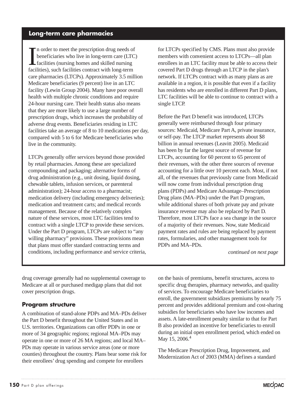### **Long-term care pharmacies**

In order to meet the prescription drug needs of<br>beneficiaries who live in long-term care (LTC<br>facilities (nursing homes and skilled nursing<br>facilities), such facilities contract with long-term n order to meet the prescription drug needs of beneficiaries who live in long-term care (LTC) facilities (nursing homes and skilled nursing care pharmacies (LTCPs). Approximately 3.5 million Medicare beneficiaries (9 percent) live in an LTC facility (Lewin Group 2004). Many have poor overall health with multiple chronic conditions and require 24-hour nursing care. Their health status also means that they are more likely to use a large number of prescription drugs, which increases the probability of adverse drug events. Beneficiaries residing in LTC facilities take an average of 8 to 10 medications per day, compared with 5 to 6 for Medicare beneficiaries who live in the community.

LTCPs generally offer services beyond those provided by retail pharmacies. Among these are specialized compounding and packaging; alternative forms of drug administration (e.g., unit dosing, liquid dosing, chewable tablets, infusion services, or parenteral administration); 24-hour access to a pharmacist; medication delivery (including emergency deliveries); medication and treatment carts; and medical records management. Because of the relatively complex nature of these services, most LTC facilities tend to contract with a single LTCP to provide these services. Under the Part D program, LTCPs are subject to "any willing pharmacy" provisions. These provisions mean that plans must offer standard contracting terms and conditions, including performance and service criteria, for LTCPs specified by CMS. Plans must also provide members with convenient access to LTCPs—all plan enrollees in an LTC facility must be able to access their covered Part D drugs through an LTCP in the plan's network. If LTCPs contract with as many plans as are available in a region, it is possible that even if a facility has residents who are enrolled in different Part D plans, LTC facilities will be able to continue to contract with a single LTCP.

Before the Part D benefit was introduced, LTCPs generally were reimbursed through four primary sources: Medicaid, Medicare Part A, private insurance, or self-pay. The LTCP market represents about \$8 billion in annual revenues (Leavitt 2005). Medicaid has been by far the largest source of revenue for LTCPs, accounting for 60 percent to 65 percent of their revenues, with the other three sources of revenue accounting for a little over 10 percent each. Most, if not all, of the revenues that previously came from Medicaid will now come from individual prescription drug plans (PDPs) and Medicare Advantage–Prescription Drug plans (MA–PDs) under the Part D program, while additional shares of both private pay and private insurance revenue may also be replaced by Part D. Therefore, most LTCPs face a sea change in the source of a majority of their revenues. Now, state Medicaid payment rates and rules are being replaced by payment rates, formularies, and other management tools for PDPs and MA–PDs.

*continued on next page*

drug coverage generally had no supplemental coverage to Medicare at all or purchased medigap plans that did not cover prescription drugs.

#### **Program structure**

A combination of stand-alone PDPs and MA–PDs deliver the Part D benefit throughout the United States and in U.S. territories. Organizations can offer PDPs in one or more of 34 geographic regions; regional MA–PDs may operate in one or more of 26 MA regions; and local MA– PDs may operate in various service areas (one or more counties) throughout the country. Plans bear some risk for their enrollees' drug spending and compete for enrollees

on the basis of premiums, benefit structures, access to specific drug therapies, pharmacy networks, and quality of services. To encourage Medicare beneficiaries to enroll, the government subsidizes premiums by nearly 75 percent and provides additional premium and cost-sharing subsidies for beneficiaries who have low incomes and assets. A late-enrollment penalty similar to that for Part B also provided an incentive for beneficiaries to enroll during an initial open enrollment period, which ended on May 15, 2006.<sup>4</sup>

The Medicare Prescription Drug, Improvement, and Modernization Act of 2003 (MMA) defines a standard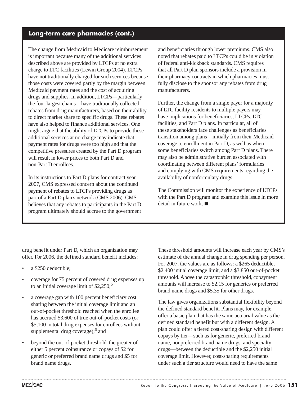### **Long-term care pharmacies (cont.)**

The change from Medicaid to Medicare reimbursement is important because many of the additional services described above are provided by LTCPs at no extra charge to LTC facilities (Lewin Group 2004). LTCPs have not traditionally charged for such services because those costs were covered partly by the margin between Medicaid payment rates and the cost of acquiring drugs and supplies. In addition, LTCPs—particularly the four largest chains—have traditionally collected rebates from drug manufacturers, based on their ability to direct market share to specific drugs. These rebates have also helped to finance additional services. One might argue that the ability of LTCPs to provide these additional services at no charge may indicate that payment rates for drugs were too high and that the competitive pressures created by the Part D program will result in lower prices to both Part D and non-Part D enrollees.

In its instructions to Part D plans for contract year 2007, CMS expressed concern about the continued payment of rebates to LTCPs providing drugs as part of a Part D plan's network (CMS 2006). CMS believes that any rebates to participants in the Part D program ultimately should accrue to the government and beneficiaries through lower premiums. CMS also noted that rebates paid to LTCPs could be in violation of federal anti-kickback standards. CMS requires that all Part D plan sponsors include a provision in their pharmacy contracts in which pharmacies must fully disclose to the sponsor any rebates from drug manufacturers.

Further, the change from a single payer for a majority of LTC facility residents to multiple payers may have implications for beneficiaries, LTCPs, LTC facilities, and Part D plans. In particular, all of these stakeholders face challenges as beneficiaries transition among plans—initially from their Medicaid coverage to enrollment in Part D, as well as when some beneficiaries switch among Part D plans. There may also be administrative burden associated with coordinating between different plans' formularies and complying with CMS requirements regarding the availability of nonformulary drugs.

The Commission will monitor the experience of LTCPs with the Part D program and examine this issue in more  $\delta$  detail in future work.

drug benefit under Part D, which an organization may offer. For 2006, the defined standard benefit includes:

- a \$250 deductible:
- coverage for 75 percent of covered drug expenses up to an initial coverage limit of  $$2,250$ ;<sup>5</sup>
- a coverage gap with 100 percent beneficiary cost sharing between the initial coverage limit and an out-of-pocket threshold reached when the enrollee has accrued \$3,600 of true out-of-pocket costs (or \$5,100 in total drug expenses for enrollees without supplemental drug coverage);<sup>6</sup> and
- beyond the out-of-pocket threshold, the greater of either 5 percent coinsurance or copays of \$2 for generic or preferred brand name drugs and \$5 for brand name drugs.

These threshold amounts will increase each year by CMS's estimate of the annual change in drug spending per person. For 2007, the values are as follows: a \$265 deductible, \$2,400 initial coverage limit, and a \$3,850 out-of-pocket threshold. Above the catastrophic threshold, copayment amounts will increase to \$2.15 for generics or preferred brand name drugs and \$5.35 for other drugs.

The law gives organizations substantial flexibility beyond the defined standard benefit. Plans may, for example, offer a basic plan that has the same actuarial value as the defined standard benefit but with a different design. A plan could offer a tiered cost-sharing design with different copays by tier—such as for generic, preferred brand name, nonpreferred brand name drugs, and specialty drugs—between the deductible and the \$2,250 initial coverage limit. However, cost-sharing requirements under such a tier structure would need to have the same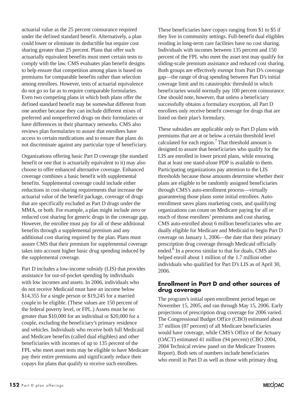actuarial value as the 25 percent coinsurance required under the defined standard benefit. Alternatively, a plan could lower or eliminate its deductible but require cost sharing greater than 25 percent. Plans that offer such actuarially equivalent benefits must meet certain tests to comply with the law. CMS evaluates plan benefit designs to help ensure that competition among plans is based on premiums for comparable benefits rather than selection among enrollees. However, tests of actuarial equivalence do not go so far as to require comparable formularies. Even two competing plans in which both plans offer the defined standard benefit may be somewhat different from one another because they can include different mixes of preferred and nonpreferred drugs on their formularies or have differences in their pharmacy networks. CMS also reviews plan formularies to assure that enrollees have access to certain medications and to ensure that plans do not discriminate against any particular type of beneficiary.

Organizations offering basic Part D coverage (the standard benefit or one that is actuarially equivalent to it) may also choose to offer enhanced alternative coverage. Enhanced coverage combines a basic benefit with supplemental benefits. Supplemental coverage could include either reductions in cost-sharing requirements that increase the actuarial value of the benefit package, coverage of drugs that are specifically excluded as Part D drugs under the MMA, or both. For example, a plan might include zero or reduced cost sharing for generic drugs in the coverage gap. However, the enrollee must pay for all of these additional benefits through a supplemental premium and any additional cost sharing required by the plan. Plans must assure CMS that their premium for supplemental coverage takes into account higher basic drug spending induced by the supplemental coverage.

Part D includes a low-income subsidy (LIS) that provides assistance for out-of-pocket spending by individuals with low incomes and assets. In 2006, individuals who do not receive Medicaid must have an income below \$14,355 for a single person or \$19,245 for a married couple to be eligible. (These values are 150 percent of the federal poverty level, or FPL.) Assets must be no greater than \$10,000 for an individual or \$20,000 for a couple, excluding the beneficiary's primary residence and vehicles. Individuals who receive both full Medicaid and Medicare benefits (called dual eligibles) and other beneficiaries with incomes of up to 135 percent of the FPL who meet asset tests may be eligible to have Medicare pay their entire premiums and significantly reduce their copays for plans that qualify to receive such enrollees.

These beneficiaries have copays ranging from \$1 to \$5 if they live in community settings. Full-benefit dual eligibles residing in long-term care facilities have no cost sharing. Individuals with incomes between 135 percent and 150 percent of the FPL who meet the asset test may qualify for sliding-scale premium assistance and reduced cost sharing. Both groups are effectively exempt from Part D's coverage gap—the range of drug spending between Part D's initial coverage limit and its catastrophic threshold in which beneficiaries would normally pay 100 percent coinsurance. One should note, however, that unless a beneficiary successfully obtains a formulary exception, all Part D enrollees only receive benefit coverage for drugs that are listed on their plan's formulary.

These subsidies are applicable only to Part D plans with premiums that are at or below a certain threshold level calculated for each region.<sup>7</sup> That threshold amount is designed to assure that beneficiaries who qualify for the LIS are enrolled in lower priced plans, while ensuring that at least one stand-alone PDP is available to them. Participating organizations pay attention to the LIS thresholds because those amounts determine whether their plans are eligible to be randomly assigned beneficiaries through CMS's auto-enrollment process—virtually guaranteeing those plans some initial enrollees. Autoenrollment saves plans marketing costs, and qualifying organizations can count on Medicare paying for all or much of those enrollees' premiums and cost sharing. CMS auto-enrolled about 6 million beneficiaries who are dually eligible for Medicare and Medicaid to begin Part D coverage on January 1, 2006—the date that their primary prescription drug coverage through Medicaid officially ended.<sup>8</sup> In a process similar to that for duals, CMS also helped enroll about 1 million of the 1.7 million other individuals who qualified for Part D's LIS as of April 30, 2006.

#### **Enrollment in Part D and other sources of drug coverage**

The program's initial open enrollment period began on November 15, 2005, and ran through May 15, 2006. Early projections of prescription drug coverage for 2006 varied. The Congressional Budget Office (CBO) estimated about 37 million (87 percent) of all Medicare beneficiaries would have coverage, while CMS's Office of the Actuary (OACT) estimated 41 million (94 percent) (CBO 2004, 2004 Technical review panel on the Medicare Trustees Report). Both sets of numbers include beneficiaries who enroll in Part D as well as those with primary drug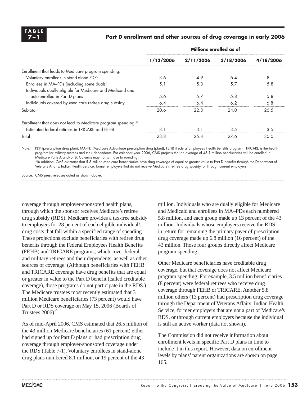

#### Part D enrollment and other sources of drug coverage in early 2006

|                                                              | Millions enrolled as of |           |           |           |  |
|--------------------------------------------------------------|-------------------------|-----------|-----------|-----------|--|
|                                                              | 1/13/2006               | 2/11/2006 | 3/18/2006 | 4/18/2006 |  |
| Enrollment that leads to Medicare program spending:          |                         |           |           |           |  |
| Voluntary enrollees in stand-alone PDPs                      | 3.6                     | 4.9       | 6.4       | 8.1       |  |
| Enrollees in MA-PDs (including some duals)                   | 5.1                     | 5.3       | 5.7       | 5.8       |  |
| Individuals dually eligible for Medicare and Medicaid and    |                         |           |           |           |  |
| auto-enrolled in Part D plans                                | 5.6                     | 5.7       | 5.8       | 5.8       |  |
| Individuals covered by Medicare retiree drug subsidy         | 6.4                     | 6.4       | 6.2       | 6.8       |  |
| Subtotal                                                     | 20.6                    | 22.3      | 24.0      | 26.5      |  |
| Enrollment that does not lead to Medicare program spending:* |                         |           |           |           |  |
| Estimated federal retirees in TRICARE and FEHB               | 3.1                     | 3.1       | 3.5       | 3.5       |  |
| Total                                                        | 23.8                    | 25.4      | 27.6      | 30.0      |  |

Note: PDP (prescription drug plan), MA–PD (Medicare Advantage prescription drug [plan]), FEHB (Federal Employees Health Benefits program). TRICARE is the health program for military retirees and their dependents. For calendar year 2006, CMS projects that an average of 43.1 million beneficiaries will be enrolled in Medicare Parts A and/or B. Columns may not sum due to rounding.

\*In addition, CMS estimates that 5.8 million Medicare beneficiaries have drug coverage of equal or greater value to Part D benefits through the Department of Veterans Affairs, Indian Health Service, former employers that do not receive Medicare's retiree drug subsidy, or through current employers.

Source: CMS press releases dated as shown above.

coverage through employer-sponsored health plans, through which the sponsor receives Medicare's retiree drug subsidy (RDS). Medicare provides a tax-free subsidy to employers for 28 percent of each eligible individual's drug costs that fall within a specified range of spending. These projections exclude beneficiaries with retiree drug benefits through the Federal Employees Health Benefits (FEHB) and TRICARE programs, which cover federal and military retirees and their dependents, as well as other sources of coverage. (Although beneficiaries with FEHB and TRICARE coverage have drug benefits that are equal or greater in value to the Part D benefit (called creditable coverage), those programs do not participate in the RDS.) The Medicare trustees most recently estimated that 31 million Medicare beneficiaries (73 percent) would have Part D or RDS coverage on May 15, 2006 (Boards of Trustees  $2006$ .<sup>9</sup>

As of mid-April 2006, CMS estimated that 26.5 million of the 43 million Medicare beneficiaries (61 percent) either had signed up for Part D plans or had prescription drug coverage through employer-sponsored coverage under the RDS (Table 7-1). Voluntary enrollees in stand-alone drug plans numbered 8.1 million, or 19 percent of the 43

million. Individuals who are dually eligible for Medicare and Medicaid and enrollees in MA–PDs each numbered 5.8 million, and each group made up 13 percent of the 43 million. Individuals whose employers receive the RDS in return for remaining the primary payer of prescription drug coverage made up 6.8 million (16 percent) of the 43 million. Those four groups directly affect Medicare program spending.

Other Medicare beneficiaries have creditable drug coverage, but that coverage does not affect Medicare program spending. For example, 3.5 million beneficiaries (8 percent) were federal retirees who receive drug coverage through FEHB or TRICARE. Another 5.8 million others (13 percent) had prescription drug coverage through the Department of Veterans Affairs, Indian Health Service, former employers that are not a part of Medicare's RDS, or through current employers because the individual is still an active worker (data not shown).

The Commission did not receive information about enrollment levels in specific Part D plans in time to include it in this report. However, data on enrollment levels by plans' parent organizations are shown on page 165.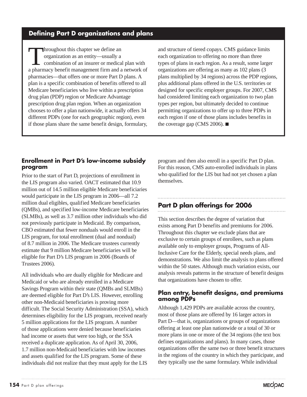### **Defining Part D organizations and plans**

In the property we define an organization as an entity—usually a combination of an insurer or medical plan with a pharmacy benefit management firm and a network of pharmacies—that offers one or more Part D plans. A plan is a specific combination of benefits offered to all Medicare beneficiaries who live within a prescription drug plan (PDP) region or Medicare Advantage prescription drug plan region. When an organization chooses to offer a plan nationwide, it actually offers 34 different PDPs (one for each geographic region), even if those plans share the same benefit design, formulary,

and structure of tiered copays. CMS guidance limits each organization to offering no more than three types of plans in each region. As a result, some larger organizations are offering as many as 102 plans (3 plans multiplied by 34 regions) across the PDP regions, plus additional plans offered in the U.S. territories or designed for specific employer groups. For 2007, CMS had considered limiting each organization to two plan types per region, but ultimately decided to continue permitting organizations to offer up to three PDPs in each region if one of those plans includes benefits in the coverage gap (CMS 2006).  $\blacksquare$ 

#### **Enrollment in Part D's low-income subsidy program**

Prior to the start of Part D, projections of enrollment in the LIS program also varied. OACT estimated that 10.9 million out of 14.5 million eligible Medicare beneficiaries would participate in the LIS program in 2006—all 7.2 million dual eligibles, qualified Medicare beneficiaries (QMBs), and specified low-income Medicare beneficiaries (SLMBs), as well as 3.7 million other individuals who did not previously participate in Medicaid. By comparison, CBO estimated that fewer nonduals would enroll in the LIS program, for total enrollment (dual and nondual) of 8.7 million in 2006. The Medicare trustees currently estimate that 9 million Medicare beneficiaries will be eligible for Part D's LIS program in 2006 (Boards of Trustees 2006).

All individuals who are dually eligible for Medicare and Medicaid or who are already enrolled in a Medicare Savings Program within their state (QMBs and SLMBs) are deemed eligible for Part D's LIS. However, enrolling other non-Medicaid beneficiaries is proving more difficult. The Social Security Administration (SSA), which determines eligibility for the LIS program, received nearly 5 million applications for the LIS program. A number of those applications were denied because beneficiaries had income or assets that were too high, or the SSA received a duplicate application. As of April 30, 2006, 1.7 million non-Medicaid beneficiaries with low incomes and assets qualified for the LIS program. Some of these individuals did not realize that they must apply for the LIS

program and then also enroll in a specific Part D plan. For this reason, CMS auto-enrolled individuals in plans who qualified for the LIS but had not yet chosen a plan themselves.

### **Part D plan offerings for 2006**

This section describes the degree of variation that exists among Part D benefits and premiums for 2006. Throughout this chapter we exclude plans that are exclusive to certain groups of enrollees, such as plans available only to employer groups, Programs of All-Inclusive Care for the Elderly, special needs plans, and demonstrations. We also limit the analysis to plans offered within the 50 states. Although much variation exists, our analysis reveals patterns in the structure of benefit designs that organizations have chosen to offer.

#### **Plan entry, benefit designs, and premiums among PDPs**

Although 1,429 PDPs are available across the country, most of those plans are offered by 16 larger actors in Part D—that is, organizations or groups of organizations offering at least one plan nationwide or a total of 30 or more plans in one or more of the 34 regions (the text box defines organizations and plans). In many cases, those organizations offer the same two or three benefit structures in the regions of the country in which they participate, and they typically use the same formulary. While individual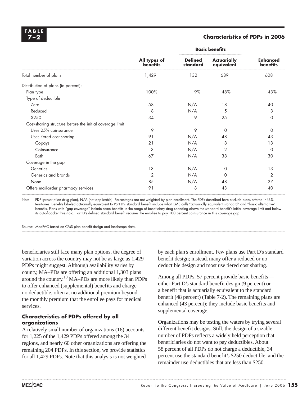#### **7–2 Characteristics of PDPs in 2006**

|                                                          |                                 | <b>Basic benefits</b>      |                                  |                             |
|----------------------------------------------------------|---------------------------------|----------------------------|----------------------------------|-----------------------------|
|                                                          | All types of<br><b>benefits</b> | <b>Defined</b><br>standard | <b>Actuarially</b><br>equivalent | <b>Enhanced</b><br>benefits |
| Total number of plans                                    | 1,429                           | 132                        | 689                              | 608                         |
| Distribution of plans (in percent):                      |                                 |                            |                                  |                             |
| Plan type                                                | 100%                            | 9%                         | 48%                              | 43%                         |
| Type of deductible                                       |                                 |                            |                                  |                             |
| Zero                                                     | 58                              | N/A                        | 18                               | 40                          |
| Reduced                                                  | 8                               | N/A                        | 5                                | 3                           |
| \$250                                                    | 34                              | 9                          | 25                               | 0                           |
| Cost-sharing structure before the initial coverage limit |                                 |                            |                                  |                             |
| Uses 25% coinsurance                                     | 9                               | 9                          | $\Omega$                         | $\Omega$                    |
| Uses tiered cost sharing                                 | 91                              | N/A                        | 48                               | 43                          |
| Copays                                                   | 21                              | N/A                        | 8                                | 13                          |
| Coinsurance                                              | 3                               | N/A                        | 2                                | $\Omega$                    |
| Both                                                     | 67                              | N/A                        | 38                               | 30                          |
| Coverage in the gap                                      |                                 |                            |                                  |                             |
| Generics                                                 | 13                              | N/A                        | 0                                | 13                          |
| Generics and brands                                      | $\overline{2}$                  | N/A                        | $\Omega$                         | $\overline{2}$              |
| None                                                     | 85                              | N/A                        | 48                               | 27                          |
| Offers mail-order pharmacy services                      | 91                              | 8                          | 43                               | 40                          |

Note: PDP (prescription drug plan), N/A (not applicable). Percentages are not weighted by plan enrollment. The PDPs described here exclude plans offered in U.S. territories. Benefits labeled actuarially equivalent to Part D's standard benefit include what CMS calls "actuarially equivalent standard" and "basic alternative benefits. Plans with "gap coverage" include some benefits in the range of beneficiary drug spending above the standard benefit's initial coverage limit and below its out-of-pocket threshold. Part D's defined standard benefit requires the enrollee to pay 100 percent coinsurance in this coverage gap.

Source: MedPAC based on CMS plan benefit design and landscape data.

beneficiaries still face many plan options, the degree of variation across the country may not be as large as 1,429 PDPs might suggest. Although availability varies by county, MA–PDs are offering an additional 1,303 plans around the country.10 MA–PDs are more likely than PDPs to offer enhanced (supplemental) benefits and charge no deductible, often at no additional premium beyond the monthly premium that the enrollee pays for medical services.

#### **Characteristics of PDPs offered by all organizations**

A relatively small number of organizations (16) accounts for 1,225 of the 1,429 PDPs offered among the 34 regions, and nearly 60 other organizations are offering the remaining 204 PDPs. In this section, we provide statistics for all 1,429 PDPs. Note that this analysis is not weighted

by each plan's enrollment. Few plans use Part D's standard benefit design; instead, many offer a reduced or no deductible design and most use tiered cost sharing.

Among all PDPs, 57 percent provide basic benefits either Part D's standard benefit design (9 percent) or a benefit that is actuarially equivalent to the standard benefit (48 percent) (Table 7-2). The remaining plans are enhanced (43 percent); they include basic benefits and supplemental coverage.

Organizations may be testing the waters by trying several different benefit designs. Still, the design of a sizable number of PDPs reflects a widely held perception that beneficiaries do not want to pay deductibles. About 58 percent of all PDPs do not charge a deductible, 34 percent use the standard benefit's \$250 deductible, and the remainder use deductibles that are less than \$250.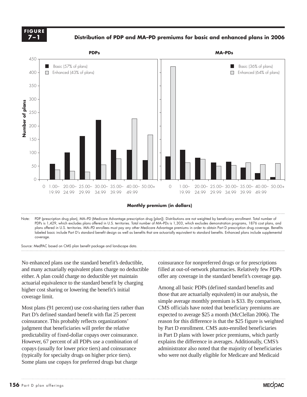**FIGURE 7–1**

**Distribution of PDP and MA–PD premiums for basic and enhanced plans in 2006**



**Monthly premium (in dollars)**

Note: PDP (prescription drug plan), MA–PD (Medicare Advantage prescription drug [plan]). Distributions are not weighted by beneficiary enrollment. Total number of PDPs is 1,429, which excludes plans offered in U.S. territories. Total number of MA–PDs is 1,303, which excludes demonstration programs, 1876 cost plans, and plans offered in U.S. territories. MA–PD enrollees must pay any other Medicare Advantage premiums in order to obtain Part D prescription drug coverage. Benefits labeled basic include Part D's standard benefit design as well as benefits that are actuarially equivalent to standard benefits. Enhanced plans include supplemental coverage.

Source: MedPAC based on CMS plan benefit package and landscape data.

No enhanced plans use the standard benefit's deductible, and many actuarially equivalent plans charge no deductible either. A plan could charge no deductible yet maintain actuarial equivalence to the standard benefit by charging higher cost sharing or lowering the benefit's initial coverage limit.

Most plans (91 percent) use cost-sharing tiers rather than Part D's defined standard benefit with flat 25 percent coinsurance. This probably reflects organizations' judgment that beneficiaries will prefer the relative predictability of fixed-dollar copays over coinsurance. However, 67 percent of all PDPs use a combination of copays (usually for lower price tiers) and coinsurance (typically for specialty drugs on higher price tiers). Some plans use copays for preferred drugs but charge

coinsurance for nonpreferred drugs or for prescriptions filled at out-of-network pharmacies. Relatively few PDPs offer any coverage in the standard benefit's coverage gap.

Among all basic PDPs (defined standard benefits and those that are actuarially equivalent) in our analysis, the simple average monthly premium is \$33. By comparison, CMS officials have noted that beneficiary premiums are expected to average \$25 a month (McClellan 2006). The reason for this difference is that the \$25 figure is weighted by Part D enrollment. CMS auto-enrolled beneficiaries in Part D plans with lower price premiums, which partly explains the difference in averages. Additionally, CMS's administrator also noted that the majority of beneficiaries who were not dually eligible for Medicare and Medicaid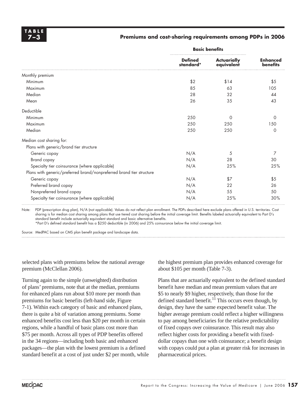#### **7–3 Premiums and cost-sharing requirements among PDPs in 2006**

|                                                                      | <b>Basic benefits</b>       |                                  |                                    |
|----------------------------------------------------------------------|-----------------------------|----------------------------------|------------------------------------|
|                                                                      | <b>Defined</b><br>standard* | <b>Actuarially</b><br>equivalent | <b>Enhanced</b><br><b>benefits</b> |
| Monthly premium                                                      |                             |                                  |                                    |
| Minimum                                                              | \$2                         | \$14                             | \$5                                |
| Maximum                                                              | 85                          | 63                               | 105                                |
| Median                                                               | 28                          | 32                               | 44                                 |
| Mean                                                                 | 26                          | 35                               | 43                                 |
| Deductible                                                           |                             |                                  |                                    |
| Minimum                                                              | 250                         | $\Omega$                         | $\Omega$                           |
| Maximum                                                              | 250                         | 250                              | 150                                |
| Median                                                               | 250                         | 250                              | $\Omega$                           |
| Median cost sharing for:                                             |                             |                                  |                                    |
| Plans with generic/brand tier structure                              |                             |                                  |                                    |
| Generic copay                                                        | N/A                         | 5                                | 7                                  |
| <b>Brand</b> copay                                                   | N/A                         | 28                               | 30                                 |
| Specialty tier coinsurance (where applicable)                        | N/A                         | 25%                              | 25%                                |
| Plans with generic/preferred brand/nonpreferred brand tier structure |                             |                                  |                                    |
| Generic copay                                                        | N/A                         | \$7                              | \$5                                |
| Preferred brand copay                                                | N/A                         | 22                               | 26                                 |
| Nonpreferred brand copay                                             | N/A                         | 55                               | 50                                 |
| Specialty tier coinsurance (where applicable)                        | N/A                         | 25%                              | 30%                                |

Note: PDP (prescription drug plan), N/A (not applicable). Values do not reflect plan enrollment. The PDPs described here exclude plans offered in U.S. territories. Cost sharing is for median cost sharing among plans that use tiered cost sharing before the initial coverage limit. Benefits labeled actuarially equivalent to Part D's standard benefit include actuarially equivalent standard and basic alternative benefits.

\*Part D's defi ned standard benefi t has a \$250 deductible (in 2006) and 25% coinsurance below the initial coverage limit.

Source: MedPAC based on CMS plan benefit package and landscape data.

selected plans with premiums below the national average premium (McClellan 2006).

Turning again to the simple (unweighted) distribution of plans' premiums, note that at the median, premiums for enhanced plans run about \$10 more per month than premiums for basic benefits (left-hand side, Figure 7-1). Within each category of basic and enhanced plans, there is quite a bit of variation among premiums. Some enhanced benefits cost less than \$20 per month in certain regions, while a handful of basic plans cost more than \$75 per month. Across all types of PDP benefits offered in the 34 regions—including both basic and enhanced packages—the plan with the lowest premium is a defined standard benefit at a cost of just under \$2 per month, while the highest premium plan provides enhanced coverage for about \$105 per month (Table 7-3).

Plans that are actuarially equivalent to the defined standard benefit have median and mean premium values that are \$5 to nearly \$9 higher, respectively, than those for the defined standard benefit.<sup>11</sup> This occurs even though, by design, they have the same expected benefit value. The higher average premium could reflect a higher willingness to pay among beneficiaries for the relative predictability of fixed copays over coinsurance. This result may also reflect higher costs for providing a benefit with fixeddollar copays than one with coinsurance; a benefit design with copays could put a plan at greater risk for increases in pharmaceutical prices.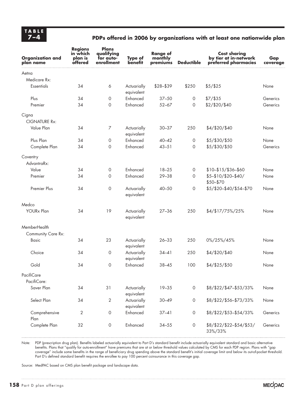### **7–4 PDPs offered in 2006 by organizations with at least one nationwide plan**

| <b>Organization and</b><br>plan name | <b>Regions</b><br>in which<br>plan is<br>offered | Plans<br>qualifying<br>for auto-<br>enrollment | Type of<br>benefit        | <b>Range of</b><br>monthly<br>premiums | <b>Deductible</b> | <b>Cost sharing</b><br>by tier at in-network<br>preferred pharmacies | Gap<br>coverage |
|--------------------------------------|--------------------------------------------------|------------------------------------------------|---------------------------|----------------------------------------|-------------------|----------------------------------------------------------------------|-----------------|
| Aetna                                |                                                  |                                                |                           |                                        |                   |                                                                      |                 |
| Medicare Rx:                         |                                                  |                                                |                           |                                        |                   |                                                                      |                 |
| <b>Essentials</b>                    | 34                                               | 6                                              | Actuarially<br>equivalent | $$28 - $39$                            | \$250             | $$5/$ \$25                                                           | None            |
| Plus                                 | 34                                               | 0                                              | Enhanced                  | $37 - 50$                              | 0                 | $$7/$ \$35                                                           | Generics        |
| Premier                              | 34                                               | $\circ$                                        | Enhanced                  | $52 - 67$                              | 0                 | \$2/\$20/\$40                                                        | Generics        |
| Cigna                                |                                                  |                                                |                           |                                        |                   |                                                                      |                 |
| <b>CIGNATURE Rx:</b>                 |                                                  |                                                |                           |                                        |                   |                                                                      |                 |
| Value Plan                           | 34                                               | 7                                              | Actuarially<br>equivalent | $30 - 37$                              | 250               | \$4/\$20/\$40                                                        | None            |
| Plus Plan                            | 34                                               | $\mathbf 0$                                    | Enhanced                  | $40 - 42$                              | 0                 | \$5/\$30/\$50                                                        | None            |
| Complete Plan                        | 34                                               | 0                                              | Enhanced                  | $43 - 51$                              | 0                 | \$5/\$30/\$50                                                        | Generics        |
| Coventry<br>AdvantraRx:              |                                                  |                                                |                           |                                        |                   |                                                                      |                 |
| Value                                | 34                                               | 0                                              | Enhanced                  | $18 - 25$                              | 0                 | \$10-\$15/\$36-\$60                                                  | None            |
| Premier                              | 34                                               | 0                                              | Enhanced                  | $29 - 38$                              | 0                 | \$5-\$10/\$20-\$40/<br>\$50-\$70                                     | None            |
| Premier Plus                         | 34                                               | $\circ$                                        | Actuarially<br>equivalent | $40 - 50$                              | 0                 | \$5/\$20-\$40/\$54-\$70                                              | None            |
| Medco                                |                                                  |                                                |                           |                                        |                   |                                                                      |                 |
| <b>YOURx Plan</b>                    | 34                                               | 19                                             | Actuarially<br>equivalent | $27 - 36$                              | 250               | \$4/\$17/75%/25%                                                     | None            |
| MemberHealth                         |                                                  |                                                |                           |                                        |                   |                                                                      |                 |
| Community Care Rx:                   |                                                  |                                                |                           |                                        |                   |                                                                      |                 |
| <b>Basic</b>                         | 34                                               | 23                                             | Actuarially<br>equivalent | $26 - 33$                              | 250               | 0%/25%/45%                                                           | None            |
| Choice                               | 34                                               | 0                                              | Actuarially<br>equivalent | $34 - 41$                              | 250               | \$4/\$20/\$40                                                        | None            |
| Gold                                 | 34                                               | $\circ$                                        | Enhanced                  | $38 - 45$                              | 100               | \$4/\$25/\$50                                                        | None            |
| PacifiCare                           |                                                  |                                                |                           |                                        |                   |                                                                      |                 |
| PacifiCare:                          |                                                  |                                                |                           |                                        |                   |                                                                      |                 |
| Saver Plan                           | 34                                               | 31                                             | Actuarially<br>equivalent | $19 - 35$                              | $\circ$           | \$8/\$22/\$47-\$53/33%                                               | None            |
| Select Plan                          | 34                                               | 2                                              | Actuarially<br>equivalent | $30 - 49$                              | 0                 | \$8/\$22/\$56-\$73/33%                                               | None            |
| Comprehensive<br>Plan                | $\mathbf{2}$                                     | $\mathsf{O}\xspace$                            | Enhanced                  | $37 - 41$                              | 0                 | \$8/\$22/\$53-\$54/33%                                               | Generics        |
| Complete Plan                        | 32                                               | 0                                              | Enhanced                  | $34 - 55$                              | 0                 | \$8/\$22/\$22-\$54/\$53/<br>33%/33%                                  | Generics        |

Note: PDP (prescription drug plan). Benefits labeled actuarially equivalent to Part D's standard benefit include actuarially equivalent standard and basic alternative benefits. Plans that "qualify for auto-enrollment" have premiums that are at or below threshold values calculated by CMS for each PDP region. Plans with "gap coverage" include some benefits in the range of beneficiary drug spending above the standard benefit's initial coverage limit and below its out-of-pocket threshold. Part D's defined standard benefit requires the enrollee to pay 100 percent coinsurance in this coverage gap.

Source: MedPAC based on CMS plan benefit package and landscape data.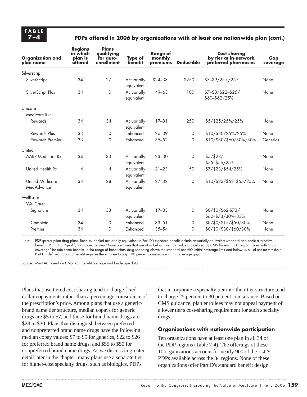#### **7–4 PDPs offered in 2006 by organizations with at least one nationwide plan (cont.)**

| <b>Organization and</b><br>plan name | <b>Regions</b><br>in which<br>plan is<br>offered | <b>Plans</b><br>qualifying<br>for auto-<br>enrollment | <b>Type of</b><br>benefit | <b>Range of</b><br>monthly<br>premiums | <b>Deductible</b> | <b>Cost sharing</b><br>by tier at in-network<br>preferred pharmacies | Gap<br>coverage |
|--------------------------------------|--------------------------------------------------|-------------------------------------------------------|---------------------------|----------------------------------------|-------------------|----------------------------------------------------------------------|-----------------|
| Silverscript                         |                                                  |                                                       |                           |                                        |                   |                                                                      |                 |
| SilverScript                         | 34                                               | 27                                                    | Actuarially<br>equivalent | $$24 - 33$                             | \$250             | $$7-$9/25\%/25\%$                                                    | None            |
| SilverScript Plus                    | 34                                               | $\circ$                                               | Actuarially<br>equivalent | 49-63                                  | 100               | $$7-$8/$22-$25/$<br>\$60-\$62/25%                                    | None            |
| Unicare                              |                                                  |                                                       |                           |                                        |                   |                                                                      |                 |
| Medicare Rx:                         |                                                  |                                                       |                           |                                        |                   |                                                                      |                 |
| Rewards                              | 34                                               | 34                                                    | Actuarially<br>equivalent | $17 - 31$                              | 250               | \$5/\$25/25%/25%                                                     | None            |
| <b>Rewards Plus</b>                  | 33                                               | 0                                                     | Enhanced                  | $26 - 39$                              | 0                 | \$10/\$30/25%/25%                                                    | None            |
| <b>Rewards Premier</b>               | 33                                               | 0                                                     | Enhanced                  | $35 - 52$                              | $\Omega$          | \$10/\$30/\$60/30%/30%                                               | Generics        |
| United                               |                                                  |                                                       |                           |                                        |                   |                                                                      |                 |
| <b>AARP</b> Medicare Rx              | 34                                               | 33                                                    | Actuarially<br>equivalent | $23 - 30$                              | $\circ$           | \$5/\$28/<br>\$55-\$56/25%                                           | None            |
| United Health Rx                     | $\overline{4}$                                   | $\overline{4}$                                        | Actuarially<br>equivalent | $21 - 23$                              | 50                | \$7/\$23/\$54/25%                                                    | None            |
| <b>United Medicare</b><br>MedAdvance | 34                                               | 28                                                    | Actuarially<br>equivalent | $27 - 32$                              | $\circ$           | \$10/\$23/\$52-\$55/25%                                              | None            |
| WellCare<br>WellCare:                |                                                  |                                                       |                           |                                        |                   |                                                                      |                 |
| Signature                            | 34                                               | 33                                                    | Actuarially<br>equivalent | $17 - 33$                              | $\circ$           | $$0/$0/$62-$73/$<br>\$62-\$73/30%-33%                                | None            |
| Complete                             | 34                                               | 0                                                     | <b>Enhanced</b>           | $33 - 51$                              | $\circ$           | \$0/\$0/\$15/\$50/30%                                                | None            |
| Premier                              | 34                                               | 0                                                     | Enhanced                  | $35 - 54$                              | $\Omega$          | \$0/\$0/\$30/\$60/30%                                                | None            |

Note: PDP (prescription drug plan). Benefits labeled actuarially equivalent to Part D's standard benefit include actuarially equivalent standard and basic alternative benefits. Plans that "qualify for auto-enrollment" have premiums that are at or below threshold values calculated by CMS for each PDP region. Plans with "gap coverage" include some benefits in the range of beneficiary drug spending above the standard benefit's initial coverage limit and below its out-of-pocket threshold. Part D's defined standard benefit requires the enrollee to pay 100 percent coinsurance in this coverage gap.

Source: MedPAC based on CMS plan benefit package and landscape data.

Plans that use tiered cost sharing tend to charge fixeddollar copayments rather than a percentage coinsurance of the prescription's price. Among plans that use a generic/ brand name tier structure, median copays for generic drugs are \$5 to \$7, and those for brand name drugs are \$28 to \$30. Plans that distinguish between preferred and nonpreferred brand name drugs have the following median copay values: \$7 to \$5 for generics, \$22 to \$26 for preferred brand name drugs, and \$55 to \$50 for nonpreferred brand name drugs. As we discuss in greater detail later in the chapter, many plans use a separate tier for higher-cost specialty drugs, such as biologics. PDPs

that incorporate a specialty tier into their tier structure tend to charge 25 percent to 30 percent coinsurance. Based on CMS guidance, plan enrollees may not appeal payment of a lower tier's cost-sharing requirement for such specialty drugs.

#### **Organizations with nationwide participation**

Ten organizations have at least one plan in all 34 of the PDP regions (Table 7-4). The offerings of these 10 organizations account for nearly 900 of the 1,429 PDPs available across the 34 regions. None of these organizations offer Part D's standard benefit design.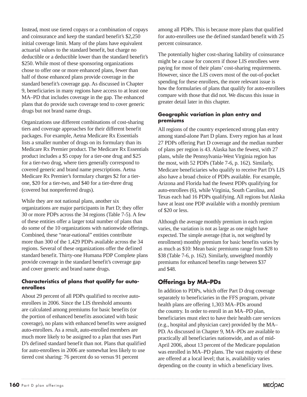Instead, most use tiered copays or a combination of copays and coinsurance and keep the standard benefit's \$2,250 initial coverage limit. Many of the plans have equivalent actuarial values to the standard benefit, but charge no deductible or a deductible lower than the standard benefit's \$250. While most of these sponsoring organizations chose to offer one or more enhanced plans, fewer than half of those enhanced plans provide coverage in the standard benefit's coverage gap. As discussed in Chapter 9, beneficiaries in many regions have access to at least one MA–PD that includes coverage in the gap. The enhanced plans that do provide such coverage tend to cover generic drugs but not brand name drugs.

Organizations use different combinations of cost-sharing tiers and coverage approaches for their different benefit packages. For example, Aetna Medicare Rx Essentials lists a smaller number of drugs on its formulary than its Medicare Rx Premier product. The Medicare Rx Essentials product includes a \$5 copay for a tier-one drug and \$25 for a tier-two drug, where tiers generally correspond to covered generic and brand name prescriptions. Aetna Medicare Rx Premier's formulary charges \$2 for a tierone, \$20 for a tier-two, and \$40 for a tier-three drug (covered but nonpreferred drugs).

While they are not national plans, another six organizations are major participants in Part D; they offer 30 or more PDPs across the 34 regions (Table 7-5). A few of these entities offer a larger total number of plans than do some of the 10 organizations with nationwide offerings. Combined, these "near-national" entities contribute more than 300 of the 1,429 PDPs available across the 34 regions. Several of these organizations offer the defined standard benefit. Thirty-one Humana PDP Complete plans provide coverage in the standard benefit's coverage gap and cover generic and brand name drugs.

#### **Characteristics of plans that qualify for autoenrollees**

About 29 percent of all PDPs qualified to receive autoenrollees in 2006. Since the LIS threshold amounts are calculated among premiums for basic benefits (or the portion of enhanced benefits associated with basic coverage), no plans with enhanced benefits were assigned auto-enrollees. As a result, auto-enrolled members are much more likely to be assigned to a plan that uses Part D's defined standard benefit than not. Plans that qualified for auto-enrollees in 2006 are somewhat less likely to use tiered cost sharing: 76 percent do so versus 91 percent

among all PDPs. This is because more plans that qualified for auto-enrollees use the defined standard benefit with 25 percent coinsurance.

The potentially higher cost-sharing liability of coinsurance might be a cause for concern if those LIS enrollees were paying for most of their plans' cost-sharing requirements. However, since the LIS covers most of the out-of-pocket spending for these enrollees, the more relevant issue is how the formularies of plans that qualify for auto-enrollees compare with those that did not. We discuss this issue in greater detail later in this chapter.

#### **Geographic variation in plan entry and premiums**

All regions of the country experienced strong plan entry among stand-alone Part D plans. Every region has at least 27 PDPs offering Part D coverage and the median number of plans per region is 43. Alaska has the fewest, with 27 plans, while the Pennsylvania-West Virginia region has the most, with 52 PDPs (Table 7-6, p. 162). Similarly, Medicare beneficiaries who qualify to receive Part D's LIS also have a broad choice of PDPs available. For example, Arizona and Florida had the fewest PDPs qualifying for auto-enrollees (6), while Virginia, South Carolina, and Texas each had 16 PDPs qualifying. All regions but Alaska have at least one PDP available with a monthly premium of \$20 or less.

Although the average monthly premium in each region varies, the variation is not as large as one might have expected. The simple average (that is, not weighted by enrollment) monthly premium for basic benefits varies by as much as \$10: Mean basic premiums range from \$28 to \$38 (Table 7-6, p. 162). Similarly, unweighted monthly premiums for enhanced benefits range between \$37 and \$48.

### **Offerings by MA–PDs**

In addition to PDPs, which offer Part D drug coverage separately to beneficiaries in the FFS program, private health plans are offering 1,303 MA–PDs around the country. In order to enroll in an MA–PD plan, beneficiaries must elect to have their health care services (e.g., hospital and physician care) provided by the MA– PD. As discussed in Chapter 9, MA–PDs are available to practically all beneficiaries nationwide, and as of mid-April 2006, about 13 percent of the Medicare population was enrolled in MA–PD plans. The vast majority of these are offered at a local level; that is, availability varies depending on the county in which a beneficiary lives.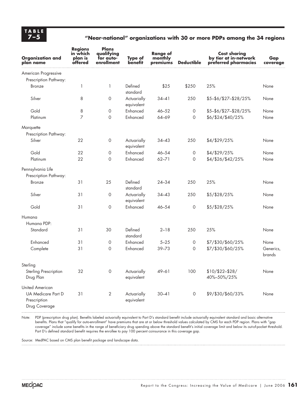### **7–5 "Near-national" organizations with 30 or more PDPs among the 34 regions**

| <b>Organization and</b><br>plan name                | <b>Regions</b><br>in which<br>plan is<br>offered | Plans<br>qualifying<br>for auto-<br>enrollment | <b>Type of</b><br>benefit | <b>Range of</b><br>monthly<br>premiums | <b>Deductible</b> | <b>Cost sharing</b><br>by tier at in-network<br>preferred pharmacies | Gap<br>coverage     |
|-----------------------------------------------------|--------------------------------------------------|------------------------------------------------|---------------------------|----------------------------------------|-------------------|----------------------------------------------------------------------|---------------------|
| American Progressive                                |                                                  |                                                |                           |                                        |                   |                                                                      |                     |
| Prescription Pathway:                               |                                                  |                                                |                           |                                        |                   |                                                                      |                     |
| <b>Bronze</b>                                       | 1                                                | $\mathbf{1}$                                   | Defined<br>standard       | \$25                                   | \$250             | 25%                                                                  | None                |
| Silver                                              | 8                                                | 0                                              | Actuarially<br>equivalent | $34 - 41$                              | 250               | \$5-\$6/\$27-\$28/25%                                                | None                |
| Gold                                                | 8                                                | 0                                              | Enhanced                  | $46 - 52$                              | 0                 | \$5-\$6/\$27-\$28/25%                                                | None                |
| Platinum                                            | $\overline{7}$                                   | 0                                              | Enhanced                  | 64-69                                  | $\circ$           | \$6/\$24/\$40/25%                                                    | None                |
| Marquette                                           |                                                  |                                                |                           |                                        |                   |                                                                      |                     |
| Prescription Pathway:                               |                                                  |                                                |                           |                                        |                   |                                                                      |                     |
| Silver                                              | 22                                               | 0                                              | Actuarially<br>equivalent | $34 - 43$                              | 250               | \$4/\$29/25%                                                         | None                |
| Gold                                                | 22                                               | 0                                              | Enhanced                  | $46 - 54$                              | $\circ$           | \$4/\$29/25%                                                         | None                |
| Platinum                                            | 22                                               | 0                                              | Enhanced                  | $62 - 71$                              | $\circ$           | \$4/\$26/\$42/25%                                                    | None                |
| Pennsylvania Life<br>Prescription Pathway:          |                                                  |                                                |                           |                                        |                   |                                                                      |                     |
| <b>Bronze</b>                                       | 31                                               | 25                                             | Defined<br>standard       | $24 - 34$                              | 250               | 25%                                                                  | None                |
| Silver                                              | 31                                               | 0                                              | Actuarially<br>equivalent | $34 - 43$                              | 250               | \$5/\$28/25%                                                         | None                |
| Gold                                                | 31                                               | 0                                              | Enhanced                  | $46 - 54$                              | $\circ$           | \$5/\$28/25%                                                         | None                |
| Humana                                              |                                                  |                                                |                           |                                        |                   |                                                                      |                     |
| Humana PDP:                                         |                                                  |                                                |                           |                                        |                   |                                                                      |                     |
| Standard                                            | 31                                               | 30                                             | Defined<br>standard       | $2 - 18$                               | 250               | 25%                                                                  | None                |
| Enhanced                                            | 31                                               | 0                                              | Enhanced                  | $5 - 25$                               | 0                 | \$7/\$30/\$60/25%                                                    | None                |
| Complete                                            | 31                                               | 0                                              | Enhanced                  | $39 - 73$                              | $\mathbf 0$       | \$7/\$30/\$60/25%                                                    | Generics,<br>brands |
| Sterling                                            |                                                  |                                                |                           |                                        |                   |                                                                      |                     |
| Sterling Prescription<br>Drug Plan                  | 32                                               | $\circ$                                        | Actuarially<br>equivalent | 49-61                                  | 100               | $$10/$22-$28/$<br>40%-50%/25%                                        | None                |
| <b>United American</b>                              |                                                  |                                                |                           |                                        |                   |                                                                      |                     |
| UA Medicare Part D<br>Prescription<br>Drug Coverage | 31                                               | $\overline{2}$                                 | Actuarially<br>equivalent | $30 - 41$                              | $\circ$           | \$9/\$30/\$60/33%                                                    | None                |

Note: PDP (prescription drug plan). Benefits labeled actuarially equivalent to Part D's standard benefit include actuarially equivalent standard and basic alternative benefits. Plans that "qualify for auto-enrollment" have premiums that are at or below threshold values calculated by CMS for each PDP region. Plans with "gap coverage" include some benefits in the range of beneficiary drug spending above the standard benefit's initial coverage limit and below its out-of-pocket threshold. Part D's defined standard benefit requires the enrollee to pay 100 percent coinsurance in this coverage gap.

Source: MedPAC based on CMS plan benefit package and landscape data.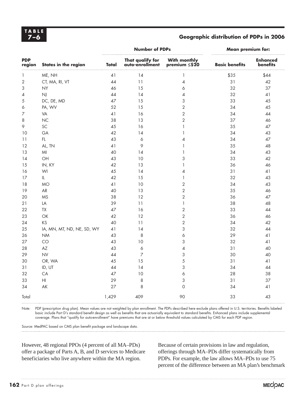**TABLE**

#### **7–6 Geographic distribution of PDPs in 2006**

|                      |                                   |       | <b>Number of PDPs</b>               | <b>Mean premium for:</b>              |                       |                             |
|----------------------|-----------------------------------|-------|-------------------------------------|---------------------------------------|-----------------------|-----------------------------|
| <b>PDP</b><br>region | <b>States in the region</b>       | Total | That qualify for<br>auto-enrollment | With monthly<br>premium ≤\$20         | <b>Basic benefits</b> | <b>Enhanced</b><br>benefits |
| 1                    | ME, NH                            | 41    | 14                                  | $\mathbf{1}$                          | \$35                  | \$44                        |
| $\sqrt{2}$           | CT, MA, RI, VT                    | 44    | 11                                  | 4                                     | 31                    | 42                          |
| 3                    | <b>NY</b>                         | 46    | 15                                  | 6                                     | 32                    | 37                          |
| $\overline{4}$       | $N_{\rm J}$                       | 44    | 14                                  | 4                                     | 32                    | 41                          |
| 5                    | DC, DE, MD                        | 47    | 15                                  | 3                                     | 33                    | 45                          |
| 6                    | PA, WV                            | 52    | 15                                  | $\overline{c}$                        | 34                    | 45                          |
| $\overline{z}$       | VA                                | 41    | 16                                  | $\overline{2}$                        | 34                    | 44                          |
| 8                    | NC                                | 38    | 13                                  | $\overline{2}$                        | 37                    | 46                          |
| 9                    | SC                                | 45    | 16                                  | $\mathbf{1}$                          | 35                    | 47                          |
| 10                   | GA                                | 42    | 14                                  | $\mathbf{1}$                          | 34                    | 43                          |
| 11                   | $\mathsf{FL}$                     | 43    | 6                                   | 4                                     | 34                    | 47                          |
| 12                   | AL, TN                            | 41    | 9                                   |                                       | 35                    | 48                          |
| 13                   | M <sub>l</sub>                    | 40    | 14                                  | $\overline{1}$                        | 34                    | 43                          |
| 14                   | OH                                | 43    | 10                                  | 3                                     | 33                    | 42                          |
| 15                   | IN, KY                            | 42    | 13                                  | $\mathbf{1}$                          | 36                    | 46                          |
| 16                   | WI                                | 45    | 14                                  | 4                                     | 31                    | 41                          |
| 17                   | $\ensuremath{\mathsf{IL}}\xspace$ | 42    | 15                                  | 1                                     | 32                    | 43                          |
| 18                   | <b>MO</b>                         | 41    | 10                                  | $\overline{2}$                        | 34                    | 43                          |
| 19                   | AR                                | 40    | 13                                  | $\overline{2}$                        | 35                    | 46                          |
| 20                   | <b>MS</b>                         | 38    | 12                                  | $\overline{2}$                        | 36                    | 47                          |
| 21                   | LA                                | 39    | 11                                  | $\begin{array}{c} \hline \end{array}$ | 38                    | 48                          |
| 22                   | TX                                | 47    | 16                                  | $\overline{2}$                        | 33                    | 44                          |
| 23                   | OK                                | 42    | 12                                  | $\overline{c}$                        | 36                    | 46                          |
| 24                   | KS                                | 40    | 11                                  | $\overline{c}$                        | 34                    | 42                          |
| 25                   | IA, MN, MT, ND, NE, SD, WY        | 41    | 14                                  | 3                                     | 32                    | 44                          |
| 26                   | <b>NM</b>                         | 43    | $\,8\,$                             | 6                                     | 29                    | 41                          |
| 27                   | CO                                | 43    | 10                                  | 3                                     | 32                    | 41                          |
| 28                   | $\mathsf{AZ}$                     | 43    | $\acute{\rm{o}}$                    | 4                                     | 31                    | 40                          |
| 29                   | N <sub>V</sub>                    | 44    | $\overline{7}$                      | 3                                     | 30                    | 40                          |
| 30                   | OR, WA                            | 45    | 15                                  | 5                                     | 31                    | 41                          |
| 31                   | ID, UT                            | 44    | 14                                  | 3                                     | 34                    | 44                          |
| 32                   | CA                                | 47    | 10                                  | 6                                     | 28                    | 38                          |
| 33                   | $\mathsf{H}\mathsf{I}$            | 29    | 8                                   | 3                                     | 31                    | 37                          |
| 34                   | AK                                | 27    | 8                                   | 0                                     | 34                    | 41                          |
| Total                |                                   | 1,429 | 409                                 | 90                                    | 33                    | 43                          |

Note: PDP (prescription drug plan). Mean values are not weighted by plan enrollment. The PDPs described here exclude plans offered in U.S. territories. Benefits labeled basic include Part D's standard benefit design as well as benefits that are actuarially equivalent to standard benefits. Enhanced plans include supplemental coverage. Plans that "qualify for auto-enrollment" have premiums that are at or below threshold values calculated by CMS for each PDP region.

Source: MedPAC based on CMS plan benefit package and landscape data.

However, 48 regional PPOs (4 percent of all MA–PDs) offer a package of Parts A, B, and D services to Medicare beneficiaries who live anywhere within the MA region.

Because of certain provisions in law and regulation, offerings through MA–PDs differ systematically from PDPs. For example, the law allows MA–PDs to use 75 percent of the difference between an MA plan's benchmark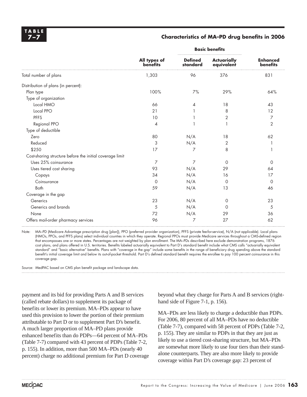#### **7–7 Characteristics of MA–PD drug benefits in 2006**

|                                                          |                                 | <b>Basic benefits</b>      |                                  |                             |
|----------------------------------------------------------|---------------------------------|----------------------------|----------------------------------|-----------------------------|
|                                                          | All types of<br><b>benefits</b> | <b>Defined</b><br>standard | <b>Actuarially</b><br>equivalent | <b>Enhanced</b><br>benefits |
| Total number of plans                                    | 1,303                           | 96                         | 376                              | 831                         |
| Distribution of plans (in percent):                      |                                 |                            |                                  |                             |
| Plan type                                                | 100%                            | 7%                         | 29%                              | 64%                         |
| Type of organization                                     |                                 |                            |                                  |                             |
| Local HMO                                                | 66                              | 4                          | 18                               | 43                          |
| Local PPO                                                | 21                              |                            | 8                                | 12                          |
| <b>PFFS</b>                                              | 10                              |                            | 2                                | 7                           |
| Regional PPO                                             | 4                               |                            |                                  | $\overline{2}$              |
| Type of deductible                                       |                                 |                            |                                  |                             |
| Zero                                                     | 80                              | N/A                        | 18                               | 62                          |
| Reduced                                                  | 3                               | N/A                        | 2                                |                             |
| \$250                                                    | 17                              | 7                          | 8                                |                             |
| Cost-sharing structure before the initial coverage limit |                                 |                            |                                  |                             |
| Uses 25% coinsurance                                     | 7                               | 7                          | $\Omega$                         | $\Omega$                    |
| Uses tiered cost sharing                                 | 93                              | N/A                        | 29                               | 64                          |
| Copays                                                   | 34                              | N/A                        | 16                               | 17                          |
| Coinsurance                                              | $\circ$                         | N/A                        | 0                                | $\Omega$                    |
| <b>Both</b>                                              | 59                              | N/A                        | 13                               | 46                          |
| Coverage in the gap                                      |                                 |                            |                                  |                             |
| Generics                                                 | 23                              | N/A                        | 0                                | 23                          |
| Generics and brands                                      | 5                               | N/A                        | $\Omega$                         | 5                           |
| None                                                     | 72                              | N/A                        | 29                               | 36                          |
| Offers mail-order pharmacy services                      | 96                              | 7                          | 27                               | 62                          |

Note: MA-PD (Medicare Advantage prescription drug [plan]), PPO (preferred provider organization), PFFS (private fee-for-service), N/A (not applicable). Local plans (HMOs, PPOs, and PFFS plans) select individual counties in which they operate. Regional PPOs must provide Medicare services throughout a CMS-defined region that encompasses one or more states. Percentages are not weighted by plan enrollment. The MA–PDs described here exclude demonstration programs, 1876 cost plans, and plans offered in U.S. territories. Benefits labeled actuarially equivalent to Part D's standard benefit include what CMS calls "actuarially equivalent standard" and "basic alternative" benefits. Plans with "coverage in the gap" include some benefits in the range of beneficiary drug spending above the standard benefit's initial coverage limit and below its out-of-pocket threshold. Part D's defined standard benefit requires the enrollee to pay 100 percent coinsurance in this coverage gap.

Source: MedPAC based on CMS plan benefit package and landscape data.

payment and its bid for providing Parts A and B services (called rebate dollars) to supplement its package of benefits or lower its premium. MA–PDs appear to have used this provision to lower the portion of their premium attributable to Part D or to supplement Part D's benefit. A much larger proportion of MA–PD plans provide enhanced benefits than do PDPs—64 percent of MA–PDs (Table 7-7) compared with 43 percent of PDPs (Table 7-2, p. 155). In addition, more than 500 MA–PDs (nearly 40 percent) charge no additional premium for Part D coverage

beyond what they charge for Parts A and B services (righthand side of Figure 7-1, p. 156).

MA–PDs are less likely to charge a deductible than PDPs. For 2006, 80 percent of all MA–PDs have no deductible (Table 7-7), compared with 58 percent of PDPs (Table 7-2, p. 155). They are similar to PDPs in that they are just as likely to use a tiered cost-sharing structure, but MA–PDs are somewhat more likely to use four tiers than their standalone counterparts. They are also more likely to provide coverage within Part D's coverage gap: 23 percent of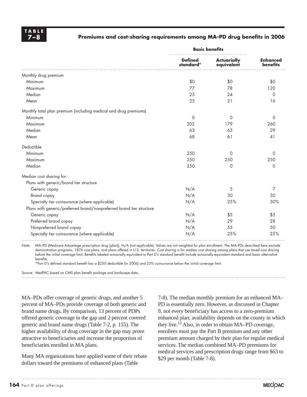#### **7–8 Premiums and cost-sharing requirements among MA–PD drug benefits in 2006**

|                                                                      | <b>Basic benefits</b>       |                                  |                                    |  |
|----------------------------------------------------------------------|-----------------------------|----------------------------------|------------------------------------|--|
|                                                                      | <b>Defined</b><br>standard* | <b>Actuarially</b><br>equivalent | <b>Enhanced</b><br><b>benefits</b> |  |
| Monthly drug premium                                                 |                             |                                  |                                    |  |
| Minimum                                                              | \$0                         | \$0                              | \$0                                |  |
| Maximum                                                              | 77                          | 78                               | 120                                |  |
| Median                                                               | 23                          | 24                               | $\Omega$                           |  |
| Mean                                                                 | 25                          | 21                               | 16                                 |  |
| Monthly total plan premium (including medical and drug premiums)     |                             |                                  |                                    |  |
| Minimum                                                              | $\circ$                     | $\circ$                          | 0                                  |  |
| Maximum                                                              | 202                         | 179                              | 260                                |  |
| Median                                                               | 63                          | 63                               | 29                                 |  |
| Mean                                                                 | 68                          | 61                               | 41                                 |  |
| Deductible                                                           |                             |                                  |                                    |  |
| Minimum                                                              | 250                         | $\Omega$                         | $\Omega$                           |  |
| Maximum                                                              | 250                         | 250                              | 250                                |  |
| Median                                                               | 250                         | $\Omega$                         | $\Omega$                           |  |
| Median cost sharing for:                                             |                             |                                  |                                    |  |
| Plans with generic/brand tier structure                              |                             |                                  |                                    |  |
| Generic copay                                                        | N/A                         | 5                                | 7                                  |  |
| Brand copay                                                          | N/A                         | 30                               | 30                                 |  |
| Specialty tier coinsurance (where applicable)                        | N/A                         | 25%                              | 30%                                |  |
| Plans with generic/preferred brand/nonpreferred brand tier structure |                             |                                  |                                    |  |
| Generic copay                                                        | N/A                         | \$5                              | \$5                                |  |
| Preferred brand copay                                                | N/A                         | 29                               | 28                                 |  |
| Nonpreferred brand copay                                             | N/A                         | 55                               | 50                                 |  |
| Specialty tier coinsurance (where applicable)                        | N/A                         | 25%                              | 25%                                |  |

Note: MA–PD (Medicare Advantage prescription drug [plan]), N/A (not applicable). Values are not weighted for plan enrollment. The MA–PDs described here exclude demonstration programs, 1876 cost plans, and plans offered in U.S. territories. Cost sharing is for median cost sharing among plans that use tiered cost sharing before the initial coverage limit. Benefits labeled actuarially equivalent to Part D's standard benefit include actuarially equivalent standard and basic alternative benefits.

\*Part D's defined standard benefit has a \$250 deductible (in 2006) and 25% coinsurance below the initial coverage limit.

Source: MedPAC based on CMS plan benefit package and landscape data.

MA–PDs offer coverage of generic drugs, and another 5 percent of MA–PDs provide coverage of both generic and brand name drugs. By comparison, 13 percent of PDPs offered generic coverage in the gap and 2 percent covered generic and brand name drugs (Table 7-2, p. 155). The higher availability of drug coverage in the gap may prove attractive to beneficiaries and increase the proportion of beneficiaries enrolled in MA plans.

Many MA organizations have applied some of their rebate dollars toward the premiums of enhanced plans (Table

7-8). The median monthly premium for an enhanced MA– PD is essentially zero. However, as discussed in Chapter 9, not every beneficiary has access to a zero-premium enhanced plan; availability depends on the county in which they live.12 Also, in order to obtain MA–PD coverage, enrollees must pay the Part B premium and any other premium amount charged by their plan for regular medical services. The median combined MA–PD premiums for medical services and prescription drugs range from \$63 to \$29 per month (Table 7-8).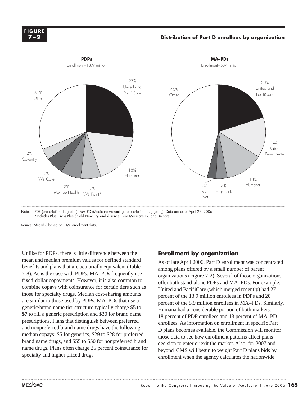

#### **Distribution of Part D enrollees by organization**



Note: PDP (prescription drug plan), MA–PD (Medicare Advantage prescription drug [plan]). Data are as of April 27, 2006. \*Includes Blue Cross Blue Shield New England Alliance, Blue Medicare Rx, and Unicare.

Source: MedPAC based on CMS enrollment data.

Unlike for PDPs, there is little difference between the mean and median premium values for defined standard benefits and plans that are actuarially equivalent (Table 7-8). As is the case with PDPs, MA–PDs frequently use fixed-dollar copayments. However, it is also common to combine copays with coinsurance for certain tiers such as those for specialty drugs. Median cost-sharing amounts are similar to those used by PDPs. MA–PDs that use a generic/brand name tier structure typically charge \$5 to \$7 to fill a generic prescription and \$30 for brand name prescriptions. Plans that distinguish between preferred and nonpreferred brand name drugs have the following median copays: \$5 for generics, \$29 to \$28 for preferred brand name drugs, and \$55 to \$50 for nonpreferred brand name drugs. Plans often charge 25 percent coinsurance for specialty and higher priced drugs.

### **Enrollment by organization**

As of late April 2006, Part D enrollment was concentrated among plans offered by a small number of parent organizations (Figure 7-2). Several of those organizations offer both stand-alone PDPs and MA–PDs. For example, United and PacifiCare (which merged recently) had 27 percent of the 13.9 million enrollees in PDPs and 20 percent of the 5.9 million enrollees in MA–PDs. Similarly, Humana had a considerable portion of both markets: 18 percent of PDP enrollees and 13 percent of MA–PD enrollees. As information on enrollment in specific Part D plans becomes available, the Commission will monitor those data to see how enrollment patterns affect plans' decision to enter or exit the market. Also, for 2007 and beyond, CMS will begin to weight Part D plans bids by enrollment when the agency calculates the nationwide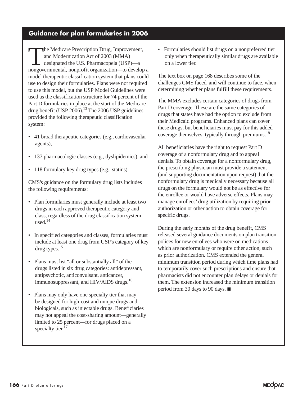### **Guidance for plan formularies in 2006**

The Medicare Prescription Drug, Improvement, and Modernization Act of 2003 (MMA) designated the U.S. Pharmacopeia (USP)—a nongovernmental, nonprofit organization—to develop a model therapeutic classification system that plans could use to design their formularies. Plans were not required to use this model, but the USP Model Guidelines were used as the classification structure for 74 percent of the Part D formularies in place at the start of the Medicare drug benefit (USP 2006).<sup>13</sup> The 2006 USP guidelines provided the following therapeutic classification system:

- 41 broad therapeutic categories (e.g., cardiovascular agents),
- 137 pharmacologic classes (e.g., dyslipidemics), and
- 118 formulary key drug types (e.g., statins).

CMS's guidance on the formulary drug lists includes the following requirements:

- Plan formularies must generally include at least two drugs in each approved therapeutic category and class, regardless of the drug classification system used.14
- In specified categories and classes, formularies must include at least one drug from USP's category of key drug types.15
- Plans must list "all or substantially all" of the drugs listed in six drug categories: antidepressant, antipsychotic, anticonvulsant, anticancer, immunosuppressant, and HIV/AIDS drugs.16
- Plans may only have one specialty tier that may be designed for high-cost and unique drugs and biologicals, such as injectable drugs. Beneficiaries may not appeal the cost-sharing amount—generally limited to 25 percent—for drugs placed on a specialty tier.<sup>17</sup>

• Formularies should list drugs on a nonpreferred tier only when therapeutically similar drugs are available on a lower tier.

The text box on page 168 describes some of the challenges CMS faced, and will continue to face, when determining whether plans fulfill these requirements.

The MMA excludes certain categories of drugs from Part D coverage. These are the same categories of drugs that states have had the option to exclude from their Medicaid programs. Enhanced plans can cover these drugs, but beneficiaries must pay for this added coverage themselves, typically through premiums.<sup>18</sup>

All beneficiaries have the right to request Part D coverage of a nonformulary drug and to appeal denials. To obtain coverage for a nonformulary drug, the prescribing physician must provide a statement (and supporting documentation upon request) that the nonformulary drug is medically necessary because all drugs on the formulary would not be as effective for the enrollee or would have adverse effects. Plans may manage enrollees' drug utilization by requiring prior authorization or other action to obtain coverage for specific drugs.

During the early months of the drug benefit, CMS released several guidance documents on plan transition polices for new enrollees who were on medications which are nonformulary or require other action, such as prior authorization. CMS extended the general minimum transition period during which time plans had to temporarily cover such prescriptions and ensure that pharmacists did not encounter plan delays or denials for them. The extension increased the minimum transition period from 30 days to 90 days.  $\blacksquare$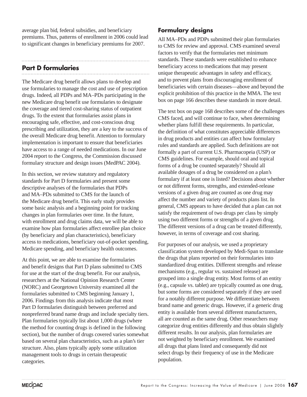average plan bid, federal subsidies, and beneficiary premiums. Thus, patterns of enrollment in 2006 could lead to significant changes in beneficiary premiums for 2007.

### **Part D formularies**

The Medicare drug benefit allows plans to develop and use formularies to manage the cost and use of prescription drugs. Indeed, all PDPs and MA–PDs participating in the new Medicare drug benefit use formularies to designate the coverage and tiered cost-sharing status of outpatient drugs. To the extent that formularies assist plans in encouraging safe, effective, and cost-conscious drug prescribing and utilization, they are a key to the success of the overall Medicare drug benefit. Attention to formulary implementation is important to ensure that beneficiaries have access to a range of needed medications. In our June 2004 report to the Congress, the Commission discussed formulary structure and design issues (MedPAC 2004).

In this section, we review statutory and regulatory standards for Part D formularies and present some descriptive analyses of the formularies that PDPs and MA–PDs submitted to CMS for the launch of the Medicare drug benefit. This early study provides some basic analysis and a beginning point for tracking changes in plan formularies over time. In the future, with enrollment and drug claims data, we will be able to examine how plan formularies affect enrollee plan choice (by beneficiary and plan characteristics), beneficiary access to medications, beneficiary out-of-pocket spending, Medicare spending, and beneficiary health outcomes.

At this point, we are able to examine the formularies and benefit designs that Part D plans submitted to CMS for use at the start of the drug benefit. For our analysis, researchers at the National Opinion Research Center (NORC) and Georgetown University examined all the formularies submitted to CMS beginning January 1, 2006. Findings from this analysis indicate that most Part D formularies distinguish between preferred and nonpreferred brand name drugs and include specialty tiers. Plan formularies typically list about 1,000 drugs (where the method for counting drugs is defined in the following section), but the number of drugs covered varies somewhat based on several plan characteristics, such as a plan's tier structure. Also, plans typically apply some utilization management tools to drugs in certain therapeutic categories.

### **Formulary designs**

All MA–PDs and PDPs submitted their plan formularies to CMS for review and approval. CMS examined several factors to verify that the formularies met minimum standards. These standards were established to enhance beneficiary access to medications that may present unique therapeutic advantages in safety and efficacy, and to prevent plans from discouraging enrollment of beneficiaries with certain diseases—above and beyond the explicit prohibition of this practice in the MMA. The text box on page 166 describes these standards in more detail.

The text box on page 168 describes some of the challenges CMS faced, and will continue to face, when determining whether plans fulfill these requirements. In particular, the definition of what constitutes appreciable differences in drug products and entities can affect how formulary rules and standards are applied. Such definitions are not formally a part of current U.S. Pharmacopeia (USP) or CMS guidelines. For example, should oral and topical forms of a drug be counted separately? Should all available dosages of a drug be considered on a plan's formulary if at least one is listed? Decisions about whether or not different forms, strengths, and extended-release versions of a given drug are counted as one drug may affect the number and variety of products plans list. In general, CMS appears to have decided that a plan can not satisfy the requirement of two drugs per class by simply using two different forms or strengths of a given drug. The different versions of a drug can be treated differently, however, in terms of coverage and cost sharing.

For purposes of our analysis, we used a proprietary classification system developed by Medi-Span to translate the drugs that plans reported on their formularies into standardized drug entities. Different strengths and release mechanisms (e.g., regular vs. sustained release) are grouped into a single drug entity. Most forms of an entity (e.g., capsule vs. tablet) are typically counted as one drug, but some forms are considered separately if they are used for a notably different purpose. We differentiate between brand name and generic drugs. However, if a generic drug entity is available from several different manufacturers, all are counted as the same drug. Other researchers may categorize drug entities differently and thus obtain slightly different results. In our analysis, plan formularies are not weighted by beneficiary enrollment. We examined all drugs that plans listed and consequently did not select drugs by their frequency of use in the Medicare population.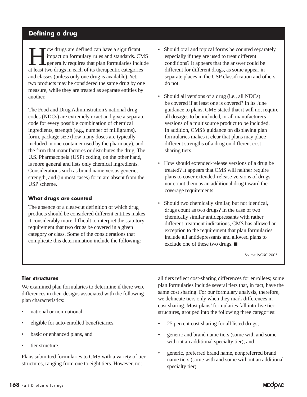### **Defining a drug**

ow drugs are defined can have a significant impact on formulary rules and standards. CMS generally requires that plan formularies include at least two drugs in each of its therapeutic categories and classes (unless only one drug is available). Yet, two products may be considered the same drug by one measure, while they are treated as separate entities by another.

The Food and Drug Administration's national drug codes (NDCs) are extremely exact and give a separate code for every possible combination of chemical ingredients, strength (e.g., number of milligrams), form, package size (how many doses are typically included in one container used by the pharmacy), and the firm that manufactures or distributes the drug. The U.S. Pharmacopeia (USP) coding, on the other hand, is more general and lists only chemical ingredients. Considerations such as brand name versus generic, strength, and (in most cases) form are absent from the USP scheme.

#### **What drugs are counted**

The absence of a clear-cut definition of which drug products should be considered different entities makes it considerably more difficult to interpret the statutory requirement that two drugs be covered in a given category or class. Some of the considerations that complicate this determination include the following:

- Should oral and topical forms be counted separately, especially if they are used to treat different conditions? It appears that the answer could be different for different drugs, as some appear in separate places in the USP classification and others do not.
- Should all versions of a drug (i.e., all NDCs) be covered if at least one is covered? In its June guidance to plans, CMS stated that it will not require all dosages to be included, or all manufacturers' versions of a multisource product to be included. In addition, CMS's guidance on displaying plan formularies makes it clear that plans may place different strengths of a drug on different costsharing tiers.
- How should extended-release versions of a drug be treated? It appears that CMS will neither require plans to cover extended-release versions of drugs, nor count them as an additional drug toward the coverage requirements.
- Should two chemically similar, but not identical, drugs count as two drugs? In the case of two chemically similar antidepressants with rather different treatment indications, CMS has allowed an exception to the requirement that plan formularies include all antidepressants and allowed plans to exclude one of these two drugs.  $\blacksquare$

Source: NORC 2005.

#### **Tier structures**

We examined plan formularies to determine if there were differences in their designs associated with the following plan characteristics:

- national or non-national,
- eligible for auto-enrolled beneficiaries,
- basic or enhanced plans, and
- tier structure.

Plans submitted formularies to CMS with a variety of tier structures, ranging from one to eight tiers. However, not

all tiers reflect cost-sharing differences for enrollees; some plan formularies include several tiers that, in fact, have the same cost sharing. For our formulary analysis, therefore, we delineate tiers only when they mark differences in cost sharing. Most plans' formularies fall into five tier structures, grouped into the following three categories:

- 25 percent cost sharing for all listed drugs;
- generic and brand name tiers (some with and some without an additional specialty tier); and
- generic, preferred brand name, nonpreferred brand name tiers (some with and some without an additional specialty tier).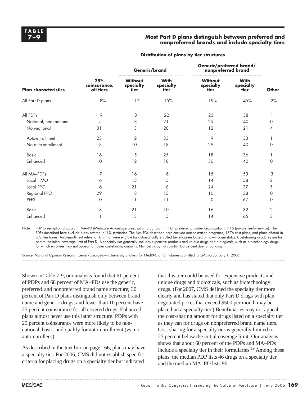#### **7–9 Most Part D plans distinguish between preferred and nonpreferred brands and include specialty tiers**

|                             |                                  | Generic/brand                |                                  | Generic/preferred brand/<br>nonpreferred brand |                                  |          |
|-----------------------------|----------------------------------|------------------------------|----------------------------------|------------------------------------------------|----------------------------------|----------|
| <b>Plan characteristics</b> | 25%<br>coinsurance,<br>all tiers | Without<br>specialty<br>tier | <b>With</b><br>specialty<br>tier | Without<br>specialty<br>tier                   | <b>With</b><br>specialty<br>tier | Other    |
| All Part D plans            | 8%                               | 11%                          | 15%                              | 19%                                            | 45%                              | 2%       |
| All PDPs                    | 9                                | 8                            | 22                               | 23                                             | 38                               |          |
| National, near-national     | 5                                | 8                            | 21                               | 25                                             | 40                               | $\Omega$ |
| Non-national                | 31                               | 3                            | 28                               | 12                                             | 21                               | 4        |
| Auto-enrollment             | 23                               | $\overline{2}$               | 33                               | 9                                              | 33                               |          |
| No auto-enrollment          | 3                                | 10                           | 18                               | 29                                             | 40                               | $\Omega$ |
| <b>Basic</b>                | 16                               | 5                            | 25                               | 18                                             | 36                               |          |
| Enhanced                    | $\mathbf 0$                      | 12                           | 18                               | 30                                             | 40                               | $\Omega$ |
| All MA-PDPs                 | 7                                | 16                           | 6                                | 15                                             | 53                               | 3        |
| Local HMO                   | 6                                | 15                           | 5                                | 14                                             | 58                               | 2        |
| Local PPO                   | 6                                | 21                           | 8                                | 24                                             | 37                               | 5        |
| Regional PPO                | 29                               | 8                            | 15                               | 10                                             | 38                               | 0        |
| <b>PFFS</b>                 | 10                               | 11                           | 11                               | $\Omega$                                       | 67                               | $\Omega$ |
| <b>Basic</b>                | 18                               | 21                           | 10                               | 16                                             | 32                               | 2        |
| Enhanced                    |                                  | 13                           | 5                                | 14                                             | 65                               | 3        |

**Distribution of plans by tier structures**

Note: PDP (prescription drug plan), MA–PD (Medicare Advantage prescription drug [plan]), PPO (preferred provider organization), PFFS (private fee-for-service). The PDPs described here exclude plans offered in U.S. territories. The MA–PDs described here exclude demonstration programs, 1876 cost plans, and plans offered in U.S. territories. Auto-enrollment refers to PDPs that were eligible for automatically enrolled beneficiaries based on low-income status. Cost-sharing structures are for before the initial coverage limit of Part D. A specialty tier generally includes expensive products and unique drugs and biologicals, such as biotechnology drugs, for which enrollees may not appeal for lower cost-sharing amounts. Numbers may not sum to 100 percent due to rounding.

Source: National Opinion Research Center/Georgetown University analysis for MedPAC of formularies submitted to CMS for January 1, 2006.

Shown in Table 7-9, our analysis found that 61 percent of PDPs and 68 percent of MA–PDs use the generic, preferred, and nonpreferred brand name structure; 30 percent of Part D plans distinguish only between brand name and generic drugs; and fewer than 10 percent have 25 percent coinsurance for all covered drugs. Enhanced plans almost never use this latter structure. PDPs with 25 percent coinsurance were more likely to be nonnational, basic, and qualify for auto-enrollment (vs. no auto-enrollees).

As described in the text box on page 166, plans may have a specialty tier. For 2006, CMS did not establish specific criteria for placing drugs on a specialty tier but indicated

that this tier could be used for expensive products and unique drugs and biologicals, such as biotechnology drugs. (For 2007, CMS defined the specialty tier more clearly and has stated that only Part D drugs with plan negotiated prices that exceed \$500 per month may be placed on a specialty tier.) Beneficiaries may not appeal the cost-sharing amount for drugs listed on a specialty tier as they can for drugs on nonpreferred brand name tiers. Cost sharing for a specialty tier is generally limited to 25 percent below the initial coverage limit. Our analysis shows that about 60 percent of the PDPs and MA–PDs include a specialty tier in their formularies.<sup>19</sup> Among these plans, the median PDP lists 46 drugs on a specialty tier and the median MA–PD lists 90.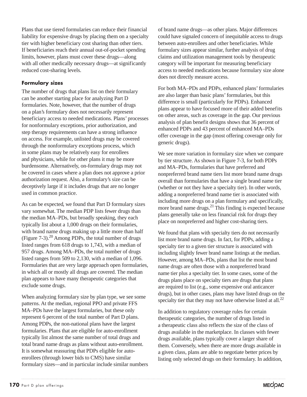Plans that use tiered formularies can reduce their financial liability for expensive drugs by placing them on a specialty tier with higher beneficiary cost sharing than other tiers. If beneficiaries reach their annual out-of-pocket spending limits, however, plans must cover these drugs—along with all other medically necessary drugs—at significantly reduced cost-sharing levels.

### **Formulary sizes**

The number of drugs that plans list on their formulary can be another starting place for analyzing Part D formularies. Note, however, that the number of drugs on a plan's formulary does not necessarily represent beneficiary access to needed medications. Plans' processes for nonformulary exceptions, prior authorization, and step therapy requirements can have a strong influence on access. For example, unlisted drugs may be covered through the nonformulary exceptions process, which in some plans may be relatively easy for enrollees and physicians, while for other plans it may be more burdensome. Alternatively, on-formulary drugs may not be covered in cases where a plan does not approve a prior authorization request. Also, a formulary's size can be deceptively large if it includes drugs that are no longer used in common practice.

As can be expected, we found that Part D formulary sizes vary somewhat. The median PDP lists fewer drugs than the median MA–PDs, but broadly speaking, they each typically list about a 1,000 drugs on their formularies, with brand name drugs making up a little more than half (Figure 7-3).20 Among PDPs, the total number of drugs listed ranges from 618 drugs to 1,743, with a median of 957 drugs. Among MA–PDs, the total number of drugs listed ranges from 509 to 2,130, with a median of 1,096. Formularies that are very large approach open formularies, in which all or mostly all drugs are covered. The median plan appears to have many therapeutic categories that exclude some drugs.

When analyzing formulary size by plan type, we see some patterns. At the median, regional PPO and private FFS MA–PDs have the largest formularies, but these only represent 6 percent of the total number of Part D plans. Among PDPs, the non-national plans have the largest formularies. Plans that are eligible for auto-enrollment typically list almost the same number of total drugs and total brand name drugs as plans without auto-enrollment. It is somewhat reassuring that PDPs eligible for autoenrollees (through lower bids to CMS) have similar formulary sizes—and in particular include similar numbers of brand name drugs—as other plans. Major differences could have signaled concern of inequitable access to drugs between auto-enrollees and other beneficiaries. While formulary sizes appear similar, further analysis of drug claims and utilization management tools by therapeutic category will be important for measuring beneficiary access to needed medications because formulary size alone does not directly measure access.

For both MA–PDs and PDPs, enhanced plans' formularies are also larger than basic plans' formularies, but this difference is small (particularly for PDPs). Enhanced plans appear to have focused more of their added benefits on other areas, such as coverage in the gap. Our previous analysis of plan benefit designs shows that 36 percent of enhanced PDPs and 43 percent of enhanced MA–PDs offer coverage in the gap (most offering coverage only for generic drugs).

We see more variation in formulary size when we compare by tier structure. As shown in Figure 7-3, for both PDPs and MA–PDs, formularies that have preferred and nonpreferred brand name tiers list more brand name drugs overall than formularies that have a single brand name tier (whether or not they have a specialty tier). In other words, adding a nonpreferred brand name tier is associated with including more drugs on a plan formulary and specifically, more brand name drugs. $^{21}$  This finding is expected because plans generally take on less financial risk for drugs they place on nonpreferred and higher cost-sharing tiers.

We found that plans with specialty tiers do not necessarily list more brand name drugs. In fact, for PDPs, adding a specialty tier to a given tier structure is associated with including slightly fewer brand name listings at the median. However, among MA–PDs, plans that list the most brand name drugs are often those with a nonpreferred brand name tier plus a specialty tier. In some cases, some of the drugs plans place on specialty tiers are drugs that plans are required to list (e.g., some expensive oral anticancer drugs), but in other cases, plans may have listed drugs on the specialty tier that they may not have otherwise listed at all. $^{22}$ 

In addition to regulatory coverage rules for certain therapeutic categories, the number of drugs listed in a therapeutic class also reflects the size of the class of drugs available in the marketplace. In classes with fewer drugs available, plans typically cover a larger share of them. Conversely, when there are more drugs available in a given class, plans are able to negotiate better prices by listing only selected drugs on their formulary. In addition,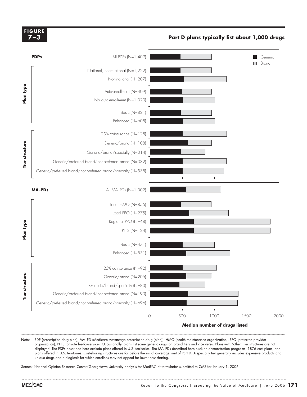#### **FIGURE 7–3**

#### **Part D plans typically list about 1,000 drugs**



Note: PDP (prescription drug plan), MA–PD (Medicare Advantage prescription drug [plan]), HMO (health maintenance organization), PPO (preferred provider organization), PFFS (private fee-for-service). Occasionally, plans list some generic drugs on brand tiers and vice versa. Plans with "other" tier structures are not displayed. The PDPs described here exclude plans offered in U.S. territories. The MA–PDs described here exclude demonstration programs, 1876 cost plans, and plans offered in U.S. territories. Cost-sharing structures are for before the initial coverage limit of Part D. A specialty tier generally includes expensive products and unique drugs and biologicals for which enrollees may not appeal for lower cost sharing.

Source: National Opinion Research Center/Georgetown University analysis for MedPAC of formularies submitted to CMS for January 1, 2006.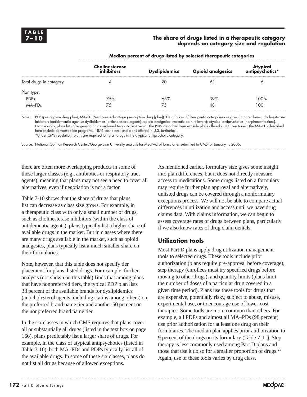#### The share of drugs listed in a therapeutic category  **depends on category size and regulation**

|                         | <b>Cholinesterase</b><br>inhibitors | <b>Dyslipidemics</b> | <b>Opioid analgesics</b> | Atypical<br>*antipsychotics |
|-------------------------|-------------------------------------|----------------------|--------------------------|-----------------------------|
| Total drugs in category |                                     | 20                   |                          |                             |
| Plan type:              |                                     |                      |                          |                             |
| <b>PDPs</b>             | 7.5%                                | 6.5%                 | 39%                      | 100%                        |
| MA-PDs                  | 75                                  | 75                   | 48                       | 100                         |

#### **Median percent of drugs listed by selected therapeutic categories**

Note: PDP (prescription drug plan), MA–PD (Medicare Advantage prescription drug [plan]). Descriptions of therapeutic categories are given in parentheses: cholinesterase inhibitors (antidementia agents); dyslipidemics (anticholesterol agents); opioid analgesics (narcotic pain relievers); atypical antipsychotics (nonphenothiazines). Occasionally, plans list some generic drugs on brand tiers and vice versa. The PDPs described here exclude plans offered in U.S. territories. The MA–PDs described here exclude demonstration programs, 1876 cost plans, and plans offered in U.S. territories. \*Under CMS regulation, plans are required to list all drugs in the atypical antipsychotic category.

Source: National Opinion Research Center/Georgetown University analysis for MedPAC of formularies submitted to CMS for January 1, 2006.

there are often more overlapping products in some of these larger classes (e.g., antibiotics or respiratory tract agents), meaning that plans may not see a need to cover all alternatives, even if negotiation is not a factor.

Table 7-10 shows that the share of drugs that plans list can decrease as class size grows. For example, in a therapeutic class with only a small number of drugs, such as cholinesterase inhibitors (within the class of antidementia agents), plans typically list a higher share of available drugs in the market. But in classes where there are many drugs available in the market, such as opioid analgesics, plans typically list a much smaller share on their formularies.

Note, however, that this table does not specify tier placement for plans' listed drugs. For example, further analysis (not shown on this table) finds that among plans that have nonpreferred tiers, the typical PDP plan lists 38 percent of the available brands for dyslipidemics (anticholesterol agents, including statins among others) on the preferred brand name tier and another 50 percent on the nonpreferred brand name tier.

In the six classes in which CMS requires that plans cover all or substantially all drugs (listed in the text box on page 166), plans predictably list a larger share of drugs. For example, in the class of atypical antipsychotics (listed in Table 7-10), both MA–PDs and PDPs typically list all of the available drugs. In some of these six classes, plans do not list all drugs because of allowed exceptions.

As mentioned earlier, formulary size gives some insight into plan differences, but it does not directly measure access to medications. Some drugs listed on a formulary may require further plan approval and alternatively, unlisted drugs can be covered through a nonformulary exceptions process. We will not be able to compare actual differences in utilization and access until we have drug claims data. With claims information, we can begin to assess coverage rates of drugs between plans, particularly if we also know rates of drug claim denials.

### **Utilization tools**

Most Part D plans apply drug utilization management tools to selected drugs. These tools include prior authorization (plans require pre-approval before coverage), step therapy (enrollees must try specified drugs before moving to other drugs), and quantity limits (plans limit the number of doses of a particular drug covered in a given time period). Plans use these tools for drugs that are expensive, potentially risky, subject to abuse, misuse, experimental use, or to encourage use of lower-cost therapies. Some tools are more common than others. For example, all PDPs and almost all MA–PDs (98 percent) use prior authorization for at least one drug on their formularies. The median plan applies prior authorization to 9 percent of the drugs on its formulary (Table 7-11). Step therapy is less commonly used among Part D plans and those that use it do so for a smaller proportion of drugs. $^{23}$ Again, use of these tools varies by drug class.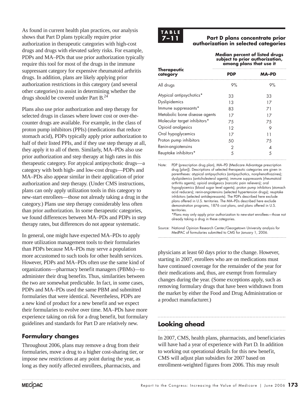As found in current health plan practices, our analysis shows that Part D plans typically require prior authorization in therapeutic categories with high-cost drugs and drugs with elevated safety risks. For example, PDPs and MA–PDs that use prior authorization typically require this tool for most of the drugs in the immune suppressant category for expensive rheumatoid arthritis drugs. In addition, plans are likely applying prior authorization restrictions in this category (and several other categories) to assist in determining whether the drugs should be covered under Part B.24

Plans also use prior authorization and step therapy for selected drugs in classes where lower cost or over-thecounter drugs are available. For example, in the class of proton pump inhibitors (PPIs) (medications that reduce stomach acid), PDPs typically apply prior authorization to half of their listed PPIs, and if they use step therapy at all, they apply it to all of them. Similarly, MA–PDs also use prior authorization and step therapy at high rates in this therapeutic category. For atypical antipsychotic drugs—a category with both high- and low-cost drugs—PDPs and MA–PDs also appear similar in their application of prior authorization and step therapy. (Under CMS instructions, plans can only apply utilization tools in this category to new-start enrollees—those not already taking a drug in the category.) Plans use step therapy considerably less often than prior authorization. In some therapeutic categories, we found differences between MA–PDs and PDPs in step therapy rates, but differences do not appear systematic.

In general, one might have expected MA–PDs to apply more utilization management tools to their formularies than PDPs because MA–PDs may serve a population more accustomed to such tools for other health services. However, PDPs and MA–PDs often use the same kind of organizations—pharmacy benefit managers (PBMs)—to administer their drug benefits. Thus, similarities between the two are somewhat predictable. In fact, in some cases, PDPs and MA–PDs used the same PBM and submitted formularies that were identical. Nevertheless, PDPs are a new kind of product for a new benefit and we expect their formularies to evolve over time. MA–PDs have more experience taking on risk for a drug benefit, but formulary guidelines and standards for Part D are relatively new.

### **Formulary changes**

Throughout 2006, plans may remove a drug from their formularies, move a drug to a higher cost-sharing tier, or impose new restrictions at any point during the year, as long as they notify affected enrollees, pharmacists, and



#### **7–11 Part D plans concentrate prior authorization in selected categories**

**Median percent of listed drugs subject to prior authorization, among plans that use it**

| <b>Therapeutic</b><br>category | PDP | MA-PD |
|--------------------------------|-----|-------|
| All drugs                      | 9%  | 9%    |
| Atypical antipsychotics*       | 33  | 33    |
| Dyslipidemics                  | 13  | 17    |
| Immune suppressants*           | 83  | 71    |
| Metabolic bone disease agents  | 17  | 17    |
| Molecular target inhibitors*   | 75  | 75    |
| Opioid analgesics              | 12  | 9     |
| Oral hypoglycemics             | 17  | 11    |
| Proton pump inhibitors         | 50  | 75    |
| Renin-angiotensins             | 2   |       |
| Reuptake inhibitors*           | 5   | 5     |

Note: PDP (prescription drug plan), MA–PD (Medicare Advantage prescription drug [plan]). Descriptions of selected therapeutic categories are given in parentheses: atypical antipsychotics (antipsychotics, nonphenothiazines); dyslipidemics (anticholesterol agents); immune suppressants (rheumatoid arthritis agents); opioid analgesics (narcotic pain relievers); oral hypoglycemics (blood sugar level agents); proton pump inhibitors (stomach acid reducers); renin-angiotensins (selected hypertension drugs); reuptake inhibitors (selected antidepressants). The PDPs described here exclude plans offered in U.S. territories. The MA–PDs described here exclude demonstration programs, 1876 cost plans, and plans offered in U.S. territories. \*Plans may only apply prior authorization to new-start enrollees—those not

already taking a drug in these categories.

Source: National Opinion Research Center/Georgetown University analysis for MedPAC of formularies submitted to CMS for January 1, 2006.

physicians at least 60 days prior to the change. However, starting in 2007, enrollees who are on medications must have continued coverage for the remainder of the year for their medications and, thus, are exempt from formulary changes during the year. (Some exceptions apply, such as removing formulary drugs that have been withdrawn from the market by either the Food and Drug Administration or a product manufacturer.)

### **Looking ahead**

In 2007, CMS, health plans, pharmacists, and beneficiaries will have had a year of experience with Part D. In addition to working out operational details for this new benefit, CMS will adjust plan subsidies for 2007 based on enrollment-weighted figures from 2006. This may result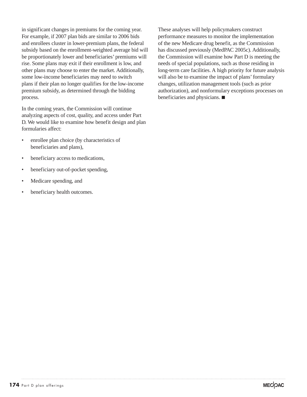in significant changes in premiums for the coming year. For example, if 2007 plan bids are similar to 2006 bids and enrollees cluster in lower-premium plans, the federal subsidy based on the enrollment-weighted average bid will be proportionately lower and beneficiaries' premiums will rise. Some plans may exit if their enrollment is low, and other plans may choose to enter the market. Additionally, some low-income beneficiaries may need to switch plans if their plan no longer qualifies for the low-income premium subsidy, as determined through the bidding process.

In the coming years, the Commission will continue analyzing aspects of cost, quality, and access under Part D. We would like to examine how benefit design and plan formularies affect:

- enrollee plan choice (by characteristics of beneficiaries and plans),
- beneficiary access to medications,
- beneficiary out-of-pocket spending,
- Medicare spending, and
- beneficiary health outcomes.

These analyses will help policymakers construct performance measures to monitor the implementation of the new Medicare drug benefit, as the Commission has discussed previously (MedPAC 2005c). Additionally, the Commission will examine how Part D is meeting the needs of special populations, such as those residing in long-term care facilities. A high priority for future analysis will also be to examine the impact of plans' formulary changes, utilization management tools (such as prior authorization), and nonformulary exceptions processes on beneficiaries and physicians.  $\blacksquare$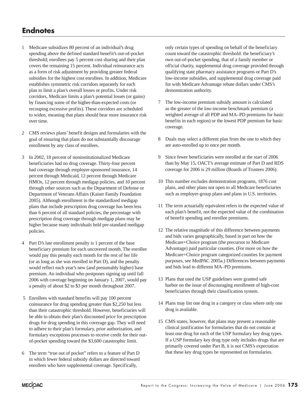### **Endnotes**

- 1 Medicare subsidizes 80 percent of an individual's drug spending above the defined standard benefit's out-of-pocket threshold; enrollees pay 5 percent cost sharing and their plan covers the remaining 15 percent. Individual reinsurance acts as a form of risk adjustment by providing greater federal subsidies for the highest cost enrollees. In addition, Medicare establishes symmetric risk corridors separately for each plan to limit a plan's overall losses or profits. Under risk corridors, Medicare limits a plan's potential losses (or gains) by financing some of the higher-than-expected costs (or recouping excessive profits). These corridors are scheduled to widen, meaning that plans should bear more insurance risk over time.
- 2 CMS reviews plans' benefit designs and formularies with the goal of ensuring that plans do not substantially discourage enrollment by any class of enrollees.
- 3 In 2002, 18 percent of noninstitutionalized Medicare beneficiaries had no drug coverage. Thirty-four percent had coverage through employer-sponsored insurance, 14 percent through Medicaid, 12 percent through Medicare HMOs, 12 percent through medigap policies, and 10 percent through other sources such as the Department of Defense or Department of Veterans Affairs (Kaiser Family Foundation 2005). Although enrollment in the standardized medigap plans that include prescription drug coverage has been less than 6 percent of all standard policies, the percentage with prescription drug coverage through medigap plans may be higher because many individuals held pre-standard medigap policies.
- 4 Part D's late enrollment penalty is 1 percent of the base beneficiary premium for each uncovered month. The enrollee would pay this penalty each month for the rest of her life (or as long as she was enrolled in Part D), and the penalty would reflect each year's new (and presumably higher) base premium. An individual who postpones signing up until fall 2006 with coverage beginning on January 1, 2007, would pay a penalty of about \$2 to \$3 per month throughout 2007.
- 5 Enrollees with standard benefits will pay 100 percent coinsurance for drug spending greater than \$2,250 but less than their catastrophic threshold. However, beneficiaries will be able to obtain their plan's discounted price for prescription drugs for drug spending in this coverage gap. They will need to adhere to their plan's formulary, prior authorization, and formulary exceptions processes to receive credit for their outof-pocket spending toward the \$3,600 catastrophic limit.
- 6 The term "true out of pocket" refers to a feature of Part D in which fewer federal subsidy dollars are directed toward enrollees who have supplemental coverage. Specifically,

only certain types of spending on behalf of the beneficiary count toward the catastrophic threshold: the beneficiary's own out-of-pocket spending, that of a family member or official charity, supplemental drug coverage provided through qualifying state pharmacy assistance programs or Part D's low-income subsidies, and supplemental drug coverage paid for with Medicare Advantage rebate dollars under CMS's demonstration authority.

- 7 The low-income premium subsidy amount is calculated as the greater of the low-income benchmark premium (a weighted average of all PDP and MA–PD premiums for basic benefits in each region) or the lowest PDP premium for basic coverage.
- 8 Duals may select a different plan from the one to which they are auto-enrolled up to once per month.
- 9 Since fewer beneficiaries were enrolled at the start of 2006 than by May 15, OACT's average estimate of Part D and RDS coverage for 2006 is 29 million (Boards of Trustees 2006).
- 10 This number excludes demonstration programs, 1876 cost plans, and other plans not open to all Medicare beneficiaries such as employer-group plans and plans in U.S. territories.
- 11 The term actuarially equivalent refers to the expected value of each plan's benefit, not the expected value of the combination of benefit spending and enrollee premiums.
- 12 The relative magnitude of this difference between payments and bids varies geographically, based in part on how the Medicare+Choice program (the precursor to Medicare Advantage) paid particular counties. (For more on how the Medicare+Choice program categorized counties for payment purposes, see MedPAC 2005a.) Differences between payments and bids lead to different MA–PD premiums.
- 13 Plans that used the USP guidelines were granted safe harbor on the issue of discouraging enrollment of high-cost beneficiaries through their classification system.
- 14 Plans may list one drug in a category or class where only one drug is available.
- 15 CMS states, however, that plans may present a reasonable clinical justification for formularies that do not contain at least one drug for each of the USP formulary key drug types. If a USP formulary key drug type only includes drugs that are primarily covered under Part B, it is not CMS's expectation that these key drug types be represented on formularies.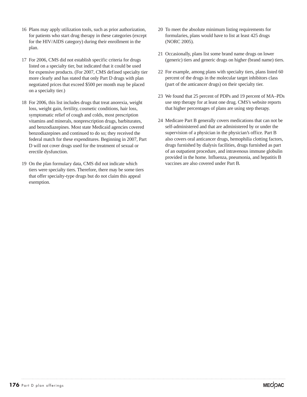- 16 Plans may apply utilization tools, such as prior authorization, for patients who start drug therapy in these categories (except for the HIV/AIDS category) during their enrollment in the plan.
- 17 For 2006, CMS did not establish specific criteria for drugs listed on a specialty tier, but indicated that it could be used for expensive products. (For 2007, CMS defined specialty tier more clearly and has stated that only Part D drugs with plan negotiated prices that exceed \$500 per month may be placed on a specialty tier.)
- 18 For 2006, this list includes drugs that treat anorexia, weight loss, weight gain, fertility, cosmetic conditions, hair loss, symptomatic relief of cough and colds, most prescription vitamins and minerals, nonprescription drugs, barbiturates, and benzodiazepines. Most state Medicaid agencies covered benzodiazepines and continued to do so; they received the federal match for these expenditures. Beginning in 2007, Part D will not cover drugs used for the treatment of sexual or erectile dysfunction.
- 19 On the plan formulary data, CMS did not indicate which tiers were specialty tiers. Therefore, there may be some tiers that offer specialty-type drugs but do not claim this appeal exemption.
- 20 To meet the absolute minimum listing requirements for formularies, plans would have to list at least 425 drugs (NORC 2005).
- 21 Occasionally, plans list some brand name drugs on lower (generic) tiers and generic drugs on higher (brand name) tiers.
- 22 For example, among plans with specialty tiers, plans listed 60 percent of the drugs in the molecular target inhibitors class (part of the anticancer drugs) on their specialty tier.
- 23 We found that 25 percent of PDPs and 19 percent of MA–PDs use step therapy for at least one drug. CMS's website reports that higher percentages of plans are using step therapy.
- 24 Medicare Part B generally covers medications that can not be self-administered and that are administered by or under the supervision of a physician in the physician's office. Part B also covers oral anticancer drugs, hemophilia clotting factors, drugs furnished by dialysis facilities, drugs furnished as part of an outpatient procedure, and intravenous immune globulin provided in the home. Influenza, pneumonia, and hepatitis B vaccines are also covered under Part B.